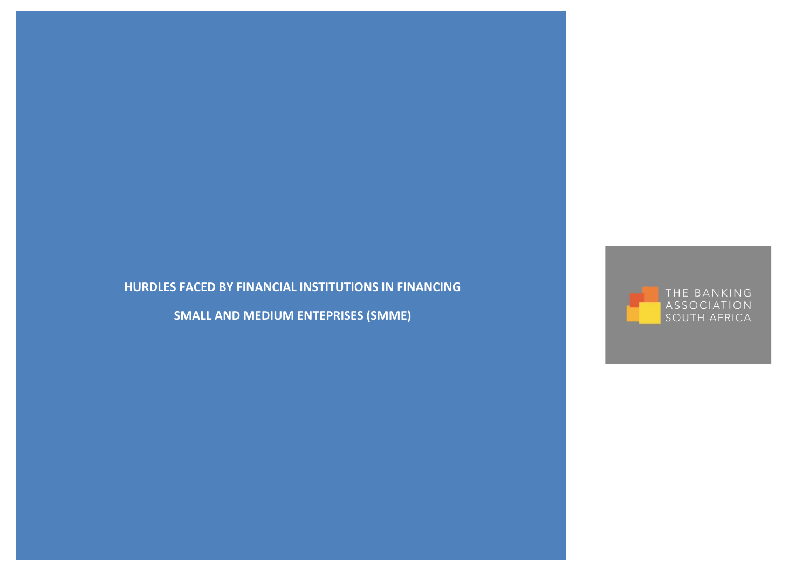# **HURDLES FACED BY FINANCIAL INSTITUTIONS IN FINANCING**

**SMALL AND MEDIUM ENTEPRISES (SMME)**

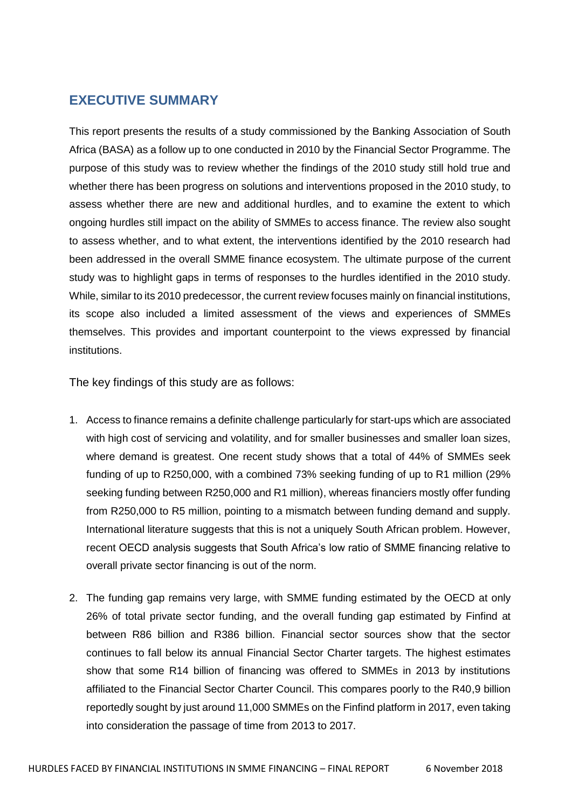# <span id="page-1-0"></span>**EXECUTIVE SUMMARY**

This report presents the results of a study commissioned by the Banking Association of South Africa (BASA) as a follow up to one conducted in 2010 by the Financial Sector Programme. The purpose of this study was to review whether the findings of the 2010 study still hold true and whether there has been progress on solutions and interventions proposed in the 2010 study, to assess whether there are new and additional hurdles, and to examine the extent to which ongoing hurdles still impact on the ability of SMMEs to access finance. The review also sought to assess whether, and to what extent, the interventions identified by the 2010 research had been addressed in the overall SMME finance ecosystem. The ultimate purpose of the current study was to highlight gaps in terms of responses to the hurdles identified in the 2010 study. While, similar to its 2010 predecessor, the current review focuses mainly on financial institutions, its scope also included a limited assessment of the views and experiences of SMMEs themselves. This provides and important counterpoint to the views expressed by financial institutions.

The key findings of this study are as follows:

- 1. Access to finance remains a definite challenge particularly for start-ups which are associated with high cost of servicing and volatility, and for smaller businesses and smaller loan sizes, where demand is greatest. One recent study shows that a total of 44% of SMMEs seek funding of up to R250,000, with a combined 73% seeking funding of up to R1 million (29% seeking funding between R250,000 and R1 million), whereas financiers mostly offer funding from R250,000 to R5 million, pointing to a mismatch between funding demand and supply. International literature suggests that this is not a uniquely South African problem. However, recent OECD analysis suggests that South Africa's low ratio of SMME financing relative to overall private sector financing is out of the norm.
- 2. The funding gap remains very large, with SMME funding estimated by the OECD at only 26% of total private sector funding, and the overall funding gap estimated by Finfind at between R86 billion and R386 billion. Financial sector sources show that the sector continues to fall below its annual Financial Sector Charter targets. The highest estimates show that some R14 billion of financing was offered to SMMEs in 2013 by institutions affiliated to the Financial Sector Charter Council. This compares poorly to the R40,9 billion reportedly sought by just around 11,000 SMMEs on the Finfind platform in 2017, even taking into consideration the passage of time from 2013 to 2017.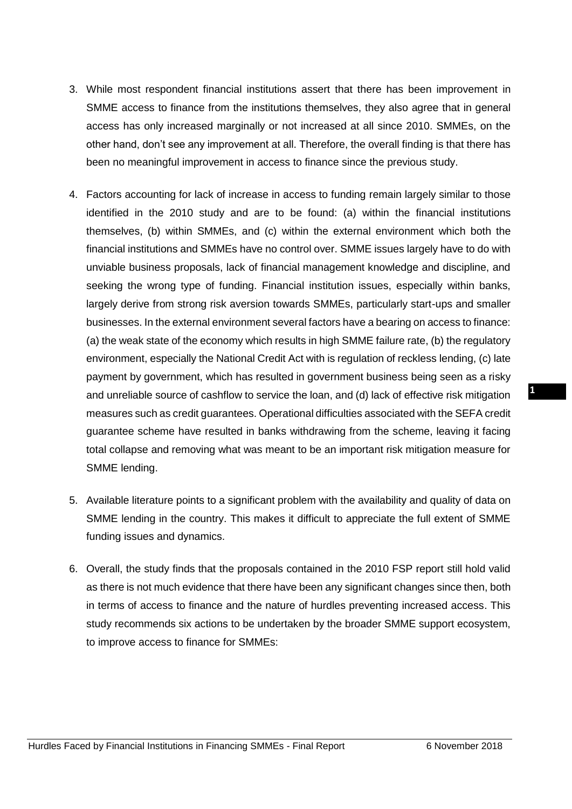- 3. While most respondent financial institutions assert that there has been improvement in SMME access to finance from the institutions themselves, they also agree that in general access has only increased marginally or not increased at all since 2010. SMMEs, on the other hand, don't see any improvement at all. Therefore, the overall finding is that there has been no meaningful improvement in access to finance since the previous study.
- 4. Factors accounting for lack of increase in access to funding remain largely similar to those identified in the 2010 study and are to be found: (a) within the financial institutions themselves, (b) within SMMEs, and (c) within the external environment which both the financial institutions and SMMEs have no control over. SMME issues largely have to do with unviable business proposals, lack of financial management knowledge and discipline, and seeking the wrong type of funding. Financial institution issues, especially within banks, largely derive from strong risk aversion towards SMMEs, particularly start-ups and smaller businesses. In the external environment several factors have a bearing on access to finance: (a) the weak state of the economy which results in high SMME failure rate, (b) the regulatory environment, especially the National Credit Act with is regulation of reckless lending, (c) late payment by government, which has resulted in government business being seen as a risky and unreliable source of cashflow to service the loan, and (d) lack of effective risk mitigation measures such as credit guarantees. Operational difficulties associated with the SEFA credit guarantee scheme have resulted in banks withdrawing from the scheme, leaving it facing total collapse and removing what was meant to be an important risk mitigation measure for SMME lending.
- 5. Available literature points to a significant problem with the availability and quality of data on SMME lending in the country. This makes it difficult to appreciate the full extent of SMME funding issues and dynamics.
- 6. Overall, the study finds that the proposals contained in the 2010 FSP report still hold valid as there is not much evidence that there have been any significant changes since then, both in terms of access to finance and the nature of hurdles preventing increased access. This study recommends six actions to be undertaken by the broader SMME support ecosystem, to improve access to finance for SMMEs: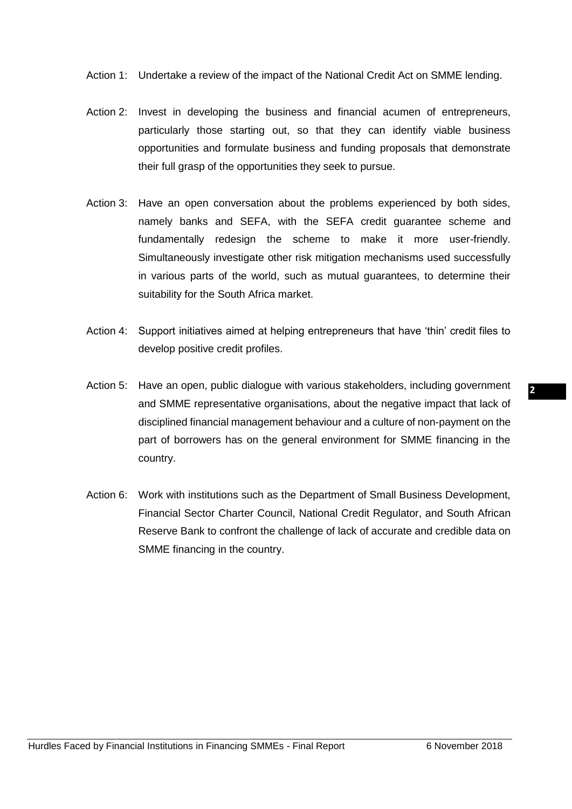Action 1: Undertake a review of the impact of the National Credit Act on SMME lending.

- Action 2: Invest in developing the business and financial acumen of entrepreneurs, particularly those starting out, so that they can identify viable business opportunities and formulate business and funding proposals that demonstrate their full grasp of the opportunities they seek to pursue.
- Action 3: Have an open conversation about the problems experienced by both sides, namely banks and SEFA, with the SEFA credit guarantee scheme and fundamentally redesign the scheme to make it more user-friendly. Simultaneously investigate other risk mitigation mechanisms used successfully in various parts of the world, such as mutual guarantees, to determine their suitability for the South Africa market.
- Action 4: Support initiatives aimed at helping entrepreneurs that have 'thin' credit files to develop positive credit profiles.
- Action 5: Have an open, public dialogue with various stakeholders, including government and SMME representative organisations, about the negative impact that lack of disciplined financial management behaviour and a culture of non-payment on the part of borrowers has on the general environment for SMME financing in the country.
- Action 6: Work with institutions such as the Department of Small Business Development, Financial Sector Charter Council, National Credit Regulator, and South African Reserve Bank to confront the challenge of lack of accurate and credible data on SMME financing in the country.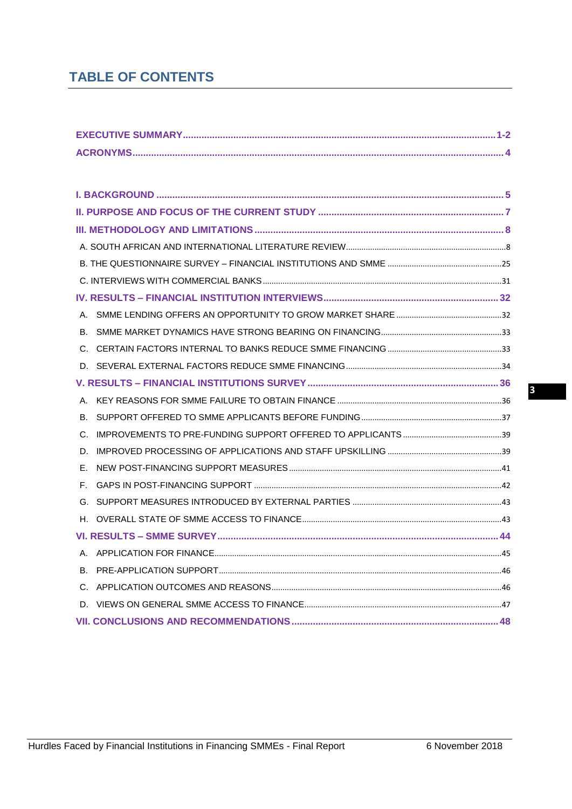# **TABLE OF CONTENTS**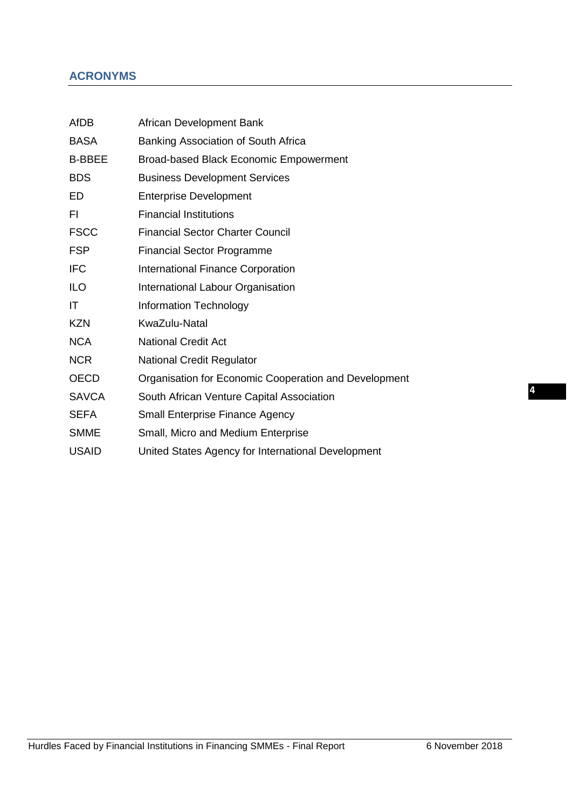# <span id="page-5-0"></span>**ACRONYMS**

| <b>AfDB</b>   | African Development Bank                              |
|---------------|-------------------------------------------------------|
| <b>BASA</b>   | Banking Association of South Africa                   |
| <b>B-BBEE</b> | <b>Broad-based Black Economic Empowerment</b>         |
| <b>BDS</b>    | <b>Business Development Services</b>                  |
| ED            | <b>Enterprise Development</b>                         |
| FI.           | <b>Financial Institutions</b>                         |
| <b>FSCC</b>   | <b>Financial Sector Charter Council</b>               |
| <b>FSP</b>    | <b>Financial Sector Programme</b>                     |
| <b>IFC</b>    | <b>International Finance Corporation</b>              |
| <b>ILO</b>    | International Labour Organisation                     |
| IT            | <b>Information Technology</b>                         |
| <b>KZN</b>    | KwaZulu-Natal                                         |
| <b>NCA</b>    | <b>National Credit Act</b>                            |
| <b>NCR</b>    | <b>National Credit Regulator</b>                      |
| <b>OECD</b>   | Organisation for Economic Cooperation and Development |
| <b>SAVCA</b>  | South African Venture Capital Association             |
| <b>SEFA</b>   | <b>Small Enterprise Finance Agency</b>                |
| <b>SMME</b>   | Small, Micro and Medium Enterprise                    |
| <b>USAID</b>  | United States Agency for International Development    |
|               |                                                       |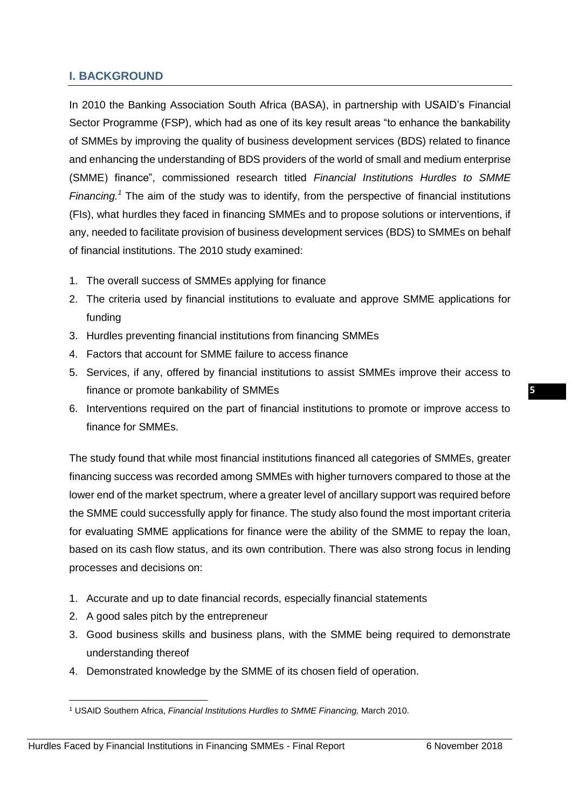# <span id="page-6-0"></span>**I. BACKGROUND**

In 2010 the Banking Association South Africa (BASA), in partnership with USAID's Financial Sector Programme (FSP), which had as one of its key result areas "to enhance the bankability of SMMEs by improving the quality of business development services (BDS) related to finance and enhancing the understanding of BDS providers of the world of small and medium enterprise (SMME) finance", commissioned research titled *Financial Institutions Hurdles to SMME* Financing.<sup>1</sup> The aim of the study was to identify, from the perspective of financial institutions (FIs), what hurdles they faced in financing SMMEs and to propose solutions or interventions, if any, needed to facilitate provision of business development services (BDS) to SMMEs on behalf of financial institutions. The 2010 study examined:

- 1. The overall success of SMMEs applying for finance
- 2. The criteria used by financial institutions to evaluate and approve SMME applications for funding
- 3. Hurdles preventing financial institutions from financing SMMEs
- 4. Factors that account for SMME failure to access finance
- 5. Services, if any, offered by financial institutions to assist SMMEs improve their access to finance or promote bankability of SMMEs
- 6. Interventions required on the part of financial institutions to promote or improve access to finance for SMMEs.

The study found that while most financial institutions financed all categories of SMMEs, greater financing success was recorded among SMMEs with higher turnovers compared to those at the lower end of the market spectrum, where a greater level of ancillary support was required before the SMME could successfully apply for finance. The study also found the most important criteria for evaluating SMME applications for finance were the ability of the SMME to repay the loan, based on its cash flow status, and its own contribution. There was also strong focus in lending processes and decisions on:

- 1. Accurate and up to date financial records, especially financial statements
- 2. A good sales pitch by the entrepreneur

**.** 

- 3. Good business skills and business plans, with the SMME being required to demonstrate understanding thereof
- 4. Demonstrated knowledge by the SMME of its chosen field of operation.

<sup>1</sup> USAID Southern Africa, *Financial Institutions Hurdles to SMME Financing,* March 2010.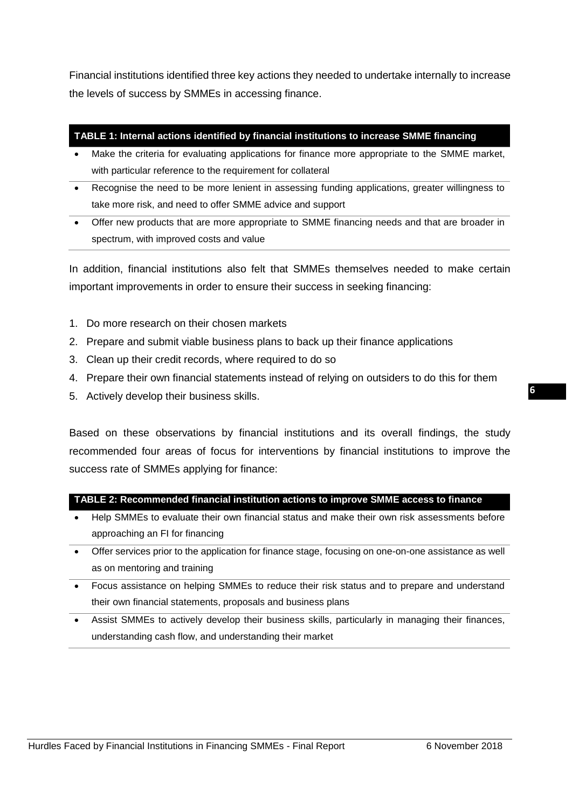Financial institutions identified three key actions they needed to undertake internally to increase the levels of success by SMMEs in accessing finance.

#### **TABLE 1: Internal actions identified by financial institutions to increase SMME financing**

- Make the criteria for evaluating applications for finance more appropriate to the SMME market, with particular reference to the requirement for collateral
- Recognise the need to be more lenient in assessing funding applications, greater willingness to take more risk, and need to offer SMME advice and support
- Offer new products that are more appropriate to SMME financing needs and that are broader in spectrum, with improved costs and value

In addition, financial institutions also felt that SMMEs themselves needed to make certain important improvements in order to ensure their success in seeking financing:

- 1. Do more research on their chosen markets
- 2. Prepare and submit viable business plans to back up their finance applications
- 3. Clean up their credit records, where required to do so
- 4. Prepare their own financial statements instead of relying on outsiders to do this for them
- 5. Actively develop their business skills.

Based on these observations by financial institutions and its overall findings, the study recommended four areas of focus for interventions by financial institutions to improve the success rate of SMMEs applying for finance:

**TABLE 2: Recommended financial institution actions to improve SMME access to finance** 

- Help SMMEs to evaluate their own financial status and make their own risk assessments before approaching an FI for financing
- Offer services prior to the application for finance stage, focusing on one-on-one assistance as well as on mentoring and training
- Focus assistance on helping SMMEs to reduce their risk status and to prepare and understand their own financial statements, proposals and business plans
- Assist SMMEs to actively develop their business skills, particularly in managing their finances, understanding cash flow, and understanding their market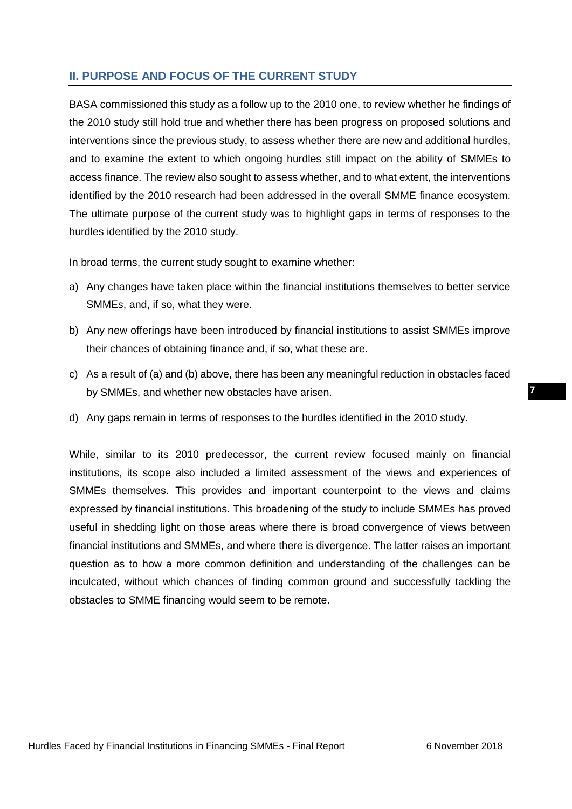# <span id="page-8-0"></span>**II. PURPOSE AND FOCUS OF THE CURRENT STUDY**

BASA commissioned this study as a follow up to the 2010 one, to review whether he findings of the 2010 study still hold true and whether there has been progress on proposed solutions and interventions since the previous study, to assess whether there are new and additional hurdles, and to examine the extent to which ongoing hurdles still impact on the ability of SMMEs to access finance. The review also sought to assess whether, and to what extent, the interventions identified by the 2010 research had been addressed in the overall SMME finance ecosystem. The ultimate purpose of the current study was to highlight gaps in terms of responses to the hurdles identified by the 2010 study.

In broad terms, the current study sought to examine whether:

- a) Any changes have taken place within the financial institutions themselves to better service SMMEs, and, if so, what they were.
- b) Any new offerings have been introduced by financial institutions to assist SMMEs improve their chances of obtaining finance and, if so, what these are.
- c) As a result of (a) and (b) above, there has been any meaningful reduction in obstacles faced by SMMEs, and whether new obstacles have arisen.
- d) Any gaps remain in terms of responses to the hurdles identified in the 2010 study.

While, similar to its 2010 predecessor, the current review focused mainly on financial institutions, its scope also included a limited assessment of the views and experiences of SMMEs themselves. This provides and important counterpoint to the views and claims expressed by financial institutions. This broadening of the study to include SMMEs has proved useful in shedding light on those areas where there is broad convergence of views between financial institutions and SMMEs, and where there is divergence. The latter raises an important question as to how a more common definition and understanding of the challenges can be inculcated, without which chances of finding common ground and successfully tackling the obstacles to SMME financing would seem to be remote.

**7**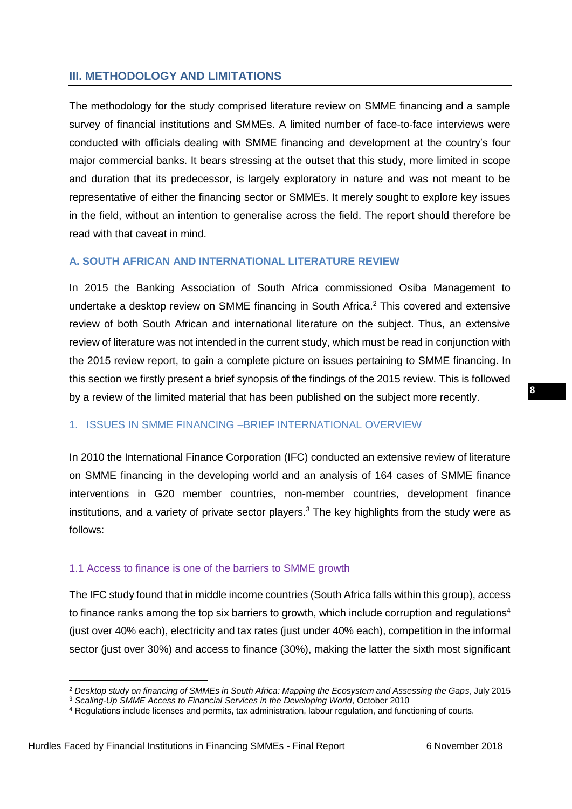# <span id="page-9-0"></span>**III. METHODOLOGY AND LIMITATIONS**

The methodology for the study comprised literature review on SMME financing and a sample survey of financial institutions and SMMEs. A limited number of face-to-face interviews were conducted with officials dealing with SMME financing and development at the country's four major commercial banks. It bears stressing at the outset that this study, more limited in scope and duration that its predecessor, is largely exploratory in nature and was not meant to be representative of either the financing sector or SMMEs. It merely sought to explore key issues in the field, without an intention to generalise across the field. The report should therefore be read with that caveat in mind.

# <span id="page-9-1"></span>**A. SOUTH AFRICAN AND INTERNATIONAL LITERATURE REVIEW**

In 2015 the Banking Association of South Africa commissioned Osiba Management to undertake a desktop review on SMME financing in South Africa. <sup>2</sup> This covered and extensive review of both South African and international literature on the subject. Thus, an extensive review of literature was not intended in the current study, which must be read in conjunction with the 2015 review report, to gain a complete picture on issues pertaining to SMME financing. In this section we firstly present a brief synopsis of the findings of the 2015 review. This is followed by a review of the limited material that has been published on the subject more recently.

# 1. ISSUES IN SMME FINANCING –BRIEF INTERNATIONAL OVERVIEW

In 2010 the International Finance Corporation (IFC) conducted an extensive review of literature on SMME financing in the developing world and an analysis of 164 cases of SMME finance interventions in G20 member countries, non-member countries, development finance institutions, and a variety of private sector players. $3$  The key highlights from the study were as follows:

# 1.1 Access to finance is one of the barriers to SMME growth

The IFC study found that in middle income countries (South Africa falls within this group), access to finance ranks among the top six barriers to growth, which include corruption and regulations<sup>4</sup> (just over 40% each), electricity and tax rates (just under 40% each), competition in the informal sector (just over 30%) and access to finance (30%), making the latter the sixth most significant

1

<sup>2</sup> *Desktop study on financing of SMMEs in South Africa: Mapping the Ecosystem and Assessing the Gaps*, July 2015

<sup>3</sup> *Scaling-Up SMME Access to Financial Services in the Developing World*, October 2010

<sup>4</sup> Regulations include licenses and permits, tax administration, labour regulation, and functioning of courts.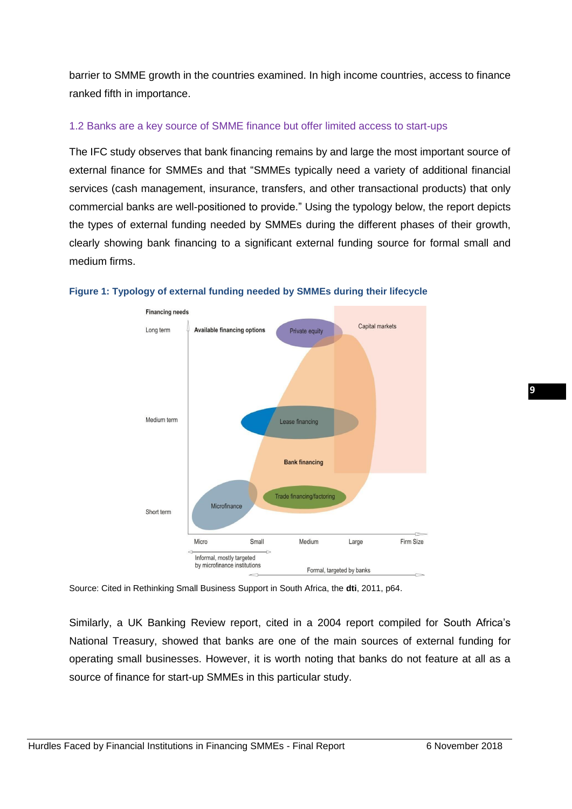barrier to SMME growth in the countries examined. In high income countries, access to finance ranked fifth in importance.

# 1.2 Banks are a key source of SMME finance but offer limited access to start-ups

The IFC study observes that bank financing remains by and large the most important source of external finance for SMMEs and that "SMMEs typically need a variety of additional financial services (cash management, insurance, transfers, and other transactional products) that only commercial banks are well-positioned to provide." Using the typology below, the report depicts the types of external funding needed by SMMEs during the different phases of their growth, clearly showing bank financing to a significant external funding source for formal small and medium firms.





Source: Cited in Rethinking Small Business Support in South Africa, the **dti**, 2011, p64.

Similarly, a UK Banking Review report, cited in a 2004 report compiled for South Africa's National Treasury, showed that banks are one of the main sources of external funding for operating small businesses. However, it is worth noting that banks do not feature at all as a source of finance for start-up SMMEs in this particular study.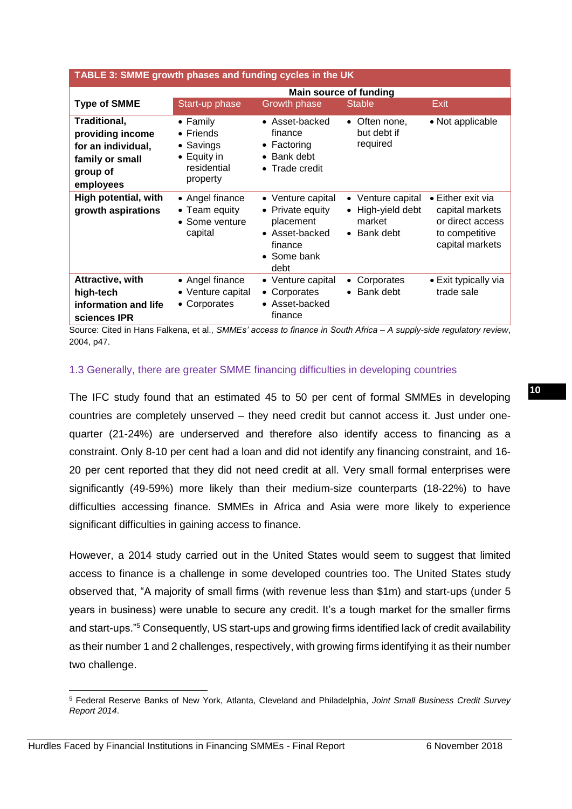| TABLE 3: SMME growth phases and funding cycles in the UK                                           |                                                                                                      |                                                                                                        |                                                                 |                                                                                                       |  |
|----------------------------------------------------------------------------------------------------|------------------------------------------------------------------------------------------------------|--------------------------------------------------------------------------------------------------------|-----------------------------------------------------------------|-------------------------------------------------------------------------------------------------------|--|
|                                                                                                    |                                                                                                      | <b>Main source of funding</b>                                                                          |                                                                 |                                                                                                       |  |
| <b>Type of SMME</b>                                                                                | Start-up phase                                                                                       | <b>Growth phase</b>                                                                                    | <b>Stable</b>                                                   | Exit                                                                                                  |  |
| Traditional,<br>providing income<br>for an individual,<br>family or small<br>group of<br>employees | $\bullet$ Family<br>$\bullet$ Friends<br>• Savings<br>$\bullet$ Equity in<br>residential<br>property | • Asset-backed<br>finance<br>$\bullet$ Factoring<br>• Bank debt<br>• Trade credit                      | • Often none,<br>but debt if<br>required                        | • Not applicable                                                                                      |  |
| High potential, with<br>growth aspirations                                                         | • Angel finance<br>• Team equity<br>• Some venture<br>capital                                        | • Venture capital<br>• Private equity<br>placement<br>• Asset-backed<br>finance<br>• Some bank<br>debt | • Venture capital<br>• High-yield debt<br>market<br>• Bank debt | $\bullet$ Either exit via<br>capital markets<br>or direct access<br>to competitive<br>capital markets |  |
| Attractive, with<br>high-tech<br>information and life<br>sciences IPR                              | $\bullet$ Angel finance<br>• Venture capital<br>• Corporates                                         | • Venture capital<br>• Corporates<br>• Asset-backed<br>finance                                         | Corporates<br>$\bullet$<br>Bank debt<br>$\bullet$               | $\bullet$ Exit typically via<br>trade sale                                                            |  |

Source: Cited in Hans Falkena, et al., *SMMEs' access to finance in South Africa – A supply-side regulatory review*, 2004, p47.

# 1.3 Generally, there are greater SMME financing difficulties in developing countries

The IFC study found that an estimated 45 to 50 per cent of formal SMMEs in developing countries are completely unserved – they need credit but cannot access it. Just under onequarter (21-24%) are underserved and therefore also identify access to financing as a constraint. Only 8-10 per cent had a loan and did not identify any financing constraint, and 16- 20 per cent reported that they did not need credit at all. Very small formal enterprises were significantly (49-59%) more likely than their medium-size counterparts (18-22%) to have difficulties accessing finance. SMMEs in Africa and Asia were more likely to experience significant difficulties in gaining access to finance.

However, a 2014 study carried out in the United States would seem to suggest that limited access to finance is a challenge in some developed countries too. The United States study observed that, "A majority of small firms (with revenue less than \$1m) and start-ups (under 5 years in business) were unable to secure any credit. It's a tough market for the smaller firms and start-ups."<sup>5</sup> Consequently, US start-ups and growing firms identified lack of credit availability as their number 1 and 2 challenges, respectively, with growing firms identifying it as their number two challenge.

**<sup>.</sup>** <sup>5</sup> Federal Reserve Banks of New York, Atlanta, Cleveland and Philadelphia, *Joint Small Business Credit Survey Report 2014*.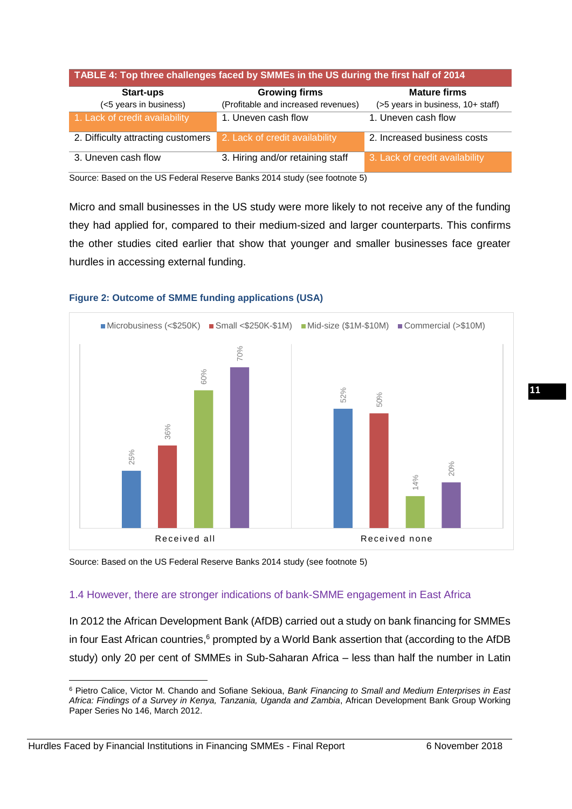| TABLE 4: Top three challenges faced by SMMEs in the US during the first half of 2014 |                                     |                                   |  |  |  |
|--------------------------------------------------------------------------------------|-------------------------------------|-----------------------------------|--|--|--|
| <b>Start-ups</b>                                                                     | <b>Growing firms</b>                | <b>Mature firms</b>               |  |  |  |
| (<5 years in business)                                                               | (Profitable and increased revenues) | (>5 years in business, 10+ staff) |  |  |  |
| 1. Lack of credit availability                                                       | 1. Uneven cash flow                 | 1. Uneven cash flow               |  |  |  |
| 2. Difficulty attracting customers                                                   | 2. Lack of credit availability      | 2. Increased business costs       |  |  |  |
| 3. Uneven cash flow                                                                  | 3. Hiring and/or retaining staff    | 3. Lack of credit availability    |  |  |  |

Source: Based on the US Federal Reserve Banks 2014 study (see footnote 5)

Micro and small businesses in the US study were more likely to not receive any of the funding they had applied for, compared to their medium-sized and larger counterparts. This confirms the other studies cited earlier that show that younger and smaller businesses face greater hurdles in accessing external funding.



#### **Figure 2: Outcome of SMME funding applications (USA)**

Source: Based on the US Federal Reserve Banks 2014 study (see footnote 5)

# 1.4 However, there are stronger indications of bank-SMME engagement in East Africa

In 2012 the African Development Bank (AfDB) carried out a study on bank financing for SMMEs in four East African countries,<sup>6</sup> prompted by a World Bank assertion that (according to the AfDB study) only 20 per cent of SMMEs in Sub-Saharan Africa – less than half the number in Latin

1

<sup>6</sup> Pietro Calice, Victor M. Chando and Sofiane Sekioua, *Bank Financing to Small and Medium Enterprises in East Africa: Findings of a Survey in Kenya, Tanzania, Uganda and Zambia*, African Development Bank Group Working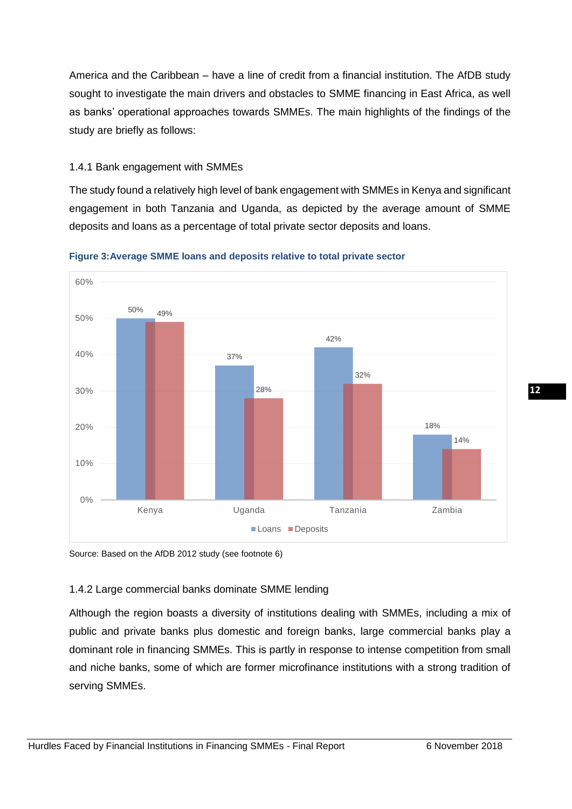America and the Caribbean – have a line of credit from a financial institution. The AfDB study sought to investigate the main drivers and obstacles to SMME financing in East Africa, as well as banks' operational approaches towards SMMEs. The main highlights of the findings of the study are briefly as follows:

# 1.4.1 Bank engagement with SMMEs

The study found a relatively high level of bank engagement with SMMEs in Kenya and significant engagement in both Tanzania and Uganda, as depicted by the average amount of SMME deposits and loans as a percentage of total private sector deposits and loans.



#### **Figure 3:Average SMME loans and deposits relative to total private sector**

Source: Based on the AfDB 2012 study (see footnote 6)

# 1.4.2 Large commercial banks dominate SMME lending

Although the region boasts a diversity of institutions dealing with SMMEs, including a mix of public and private banks plus domestic and foreign banks, large commercial banks play a dominant role in financing SMMEs. This is partly in response to intense competition from small and niche banks, some of which are former microfinance institutions with a strong tradition of serving SMMEs.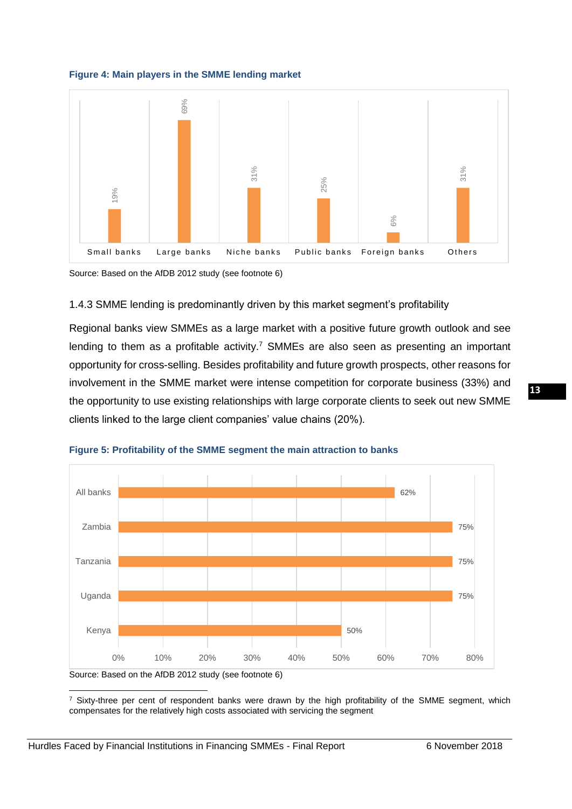



Source: Based on the AfDB 2012 study (see footnote 6)

#### 1.4.3 SMME lending is predominantly driven by this market segment's profitability

Regional banks view SMMEs as a large market with a positive future growth outlook and see lending to them as a profitable activity.<sup>7</sup> SMMEs are also seen as presenting an important opportunity for cross-selling. Besides profitability and future growth prospects, other reasons for involvement in the SMME market were intense competition for corporate business (33%) and the opportunity to use existing relationships with large corporate clients to seek out new SMME clients linked to the large client companies' value chains (20%).





 $7$  Sixty-three per cent of respondent banks were drawn by the high profitability of the SMME segment, which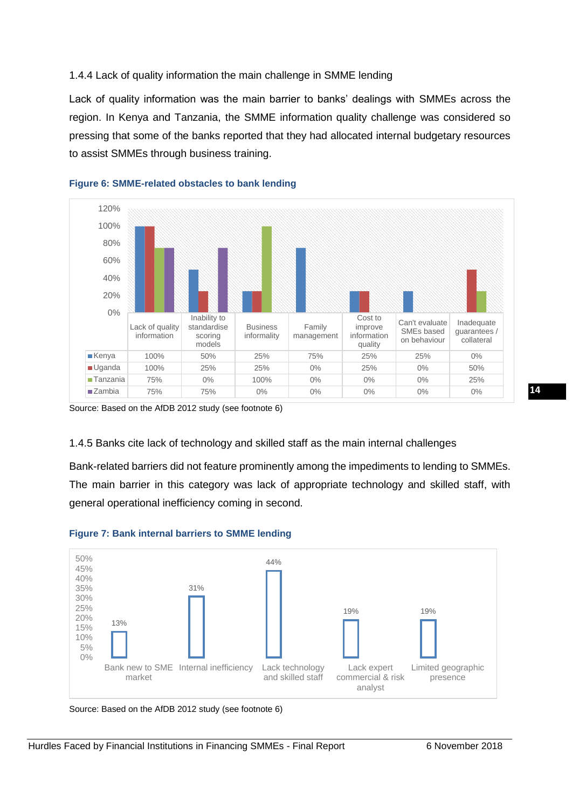# 1.4.4 Lack of quality information the main challenge in SMME lending

Lack of quality information was the main barrier to banks' dealings with SMMEs across the region. In Kenya and Tanzania, the SMME information quality challenge was considered so pressing that some of the banks reported that they had allocated internal budgetary resources to assist SMMEs through business training.



#### **Figure 6: SMME-related obstacles to bank lending**

Source: Based on the AfDB 2012 study (see footnote 6)

# 1.4.5 Banks cite lack of technology and skilled staff as the main internal challenges

Bank-related barriers did not feature prominently among the impediments to lending to SMMEs. The main barrier in this category was lack of appropriate technology and skilled staff, with general operational inefficiency coming in second.



# **Figure 7: Bank internal barriers to SMME lending**

Source: Based on the AfDB 2012 study (see footnote 6)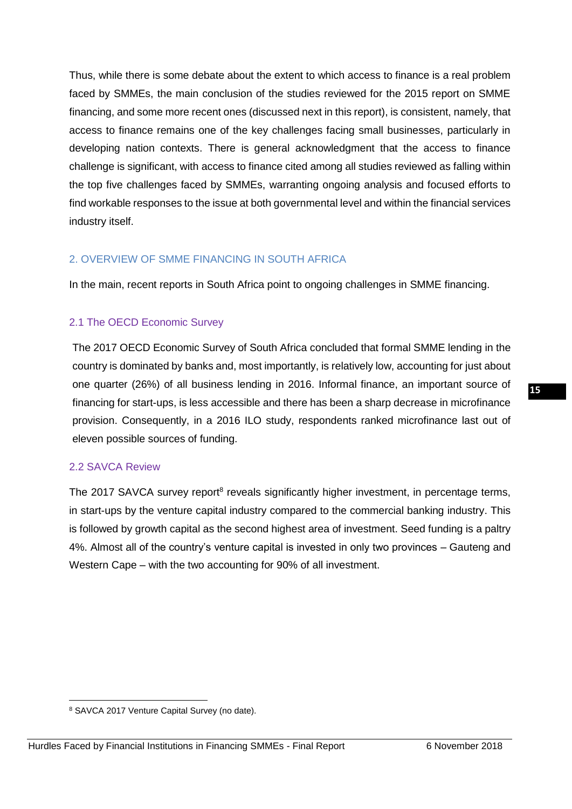Thus, while there is some debate about the extent to which access to finance is a real problem faced by SMMEs, the main conclusion of the studies reviewed for the 2015 report on SMME financing, and some more recent ones (discussed next in this report), is consistent, namely, that access to finance remains one of the key challenges facing small businesses, particularly in developing nation contexts. There is general acknowledgment that the access to finance challenge is significant, with access to finance cited among all studies reviewed as falling within the top five challenges faced by SMMEs, warranting ongoing analysis and focused efforts to find workable responses to the issue at both governmental level and within the financial services industry itself.

# 2. OVERVIEW OF SMME FINANCING IN SOUTH AFRICA

In the main, recent reports in South Africa point to ongoing challenges in SMME financing.

# 2.1 The OECD Economic Survey

The 2017 OECD Economic Survey of South Africa concluded that formal SMME lending in the country is dominated by banks and, most importantly, is relatively low, accounting for just about one quarter (26%) of all business lending in 2016. Informal finance, an important source of financing for start-ups, is less accessible and there has been a sharp decrease in microfinance provision. Consequently, in a 2016 ILO study, respondents ranked microfinance last out of eleven possible sources of funding.

#### 2.2 SAVCA Review

The 2017 SAVCA survey report<sup>8</sup> reveals significantly higher investment, in percentage terms, in start-ups by the venture capital industry compared to the commercial banking industry. This is followed by growth capital as the second highest area of investment. Seed funding is a paltry 4%. Almost all of the country's venture capital is invested in only two provinces – Gauteng and Western Cape – with the two accounting for 90% of all investment.

**<sup>.</sup>** <sup>8</sup> SAVCA 2017 Venture Capital Survey (no date).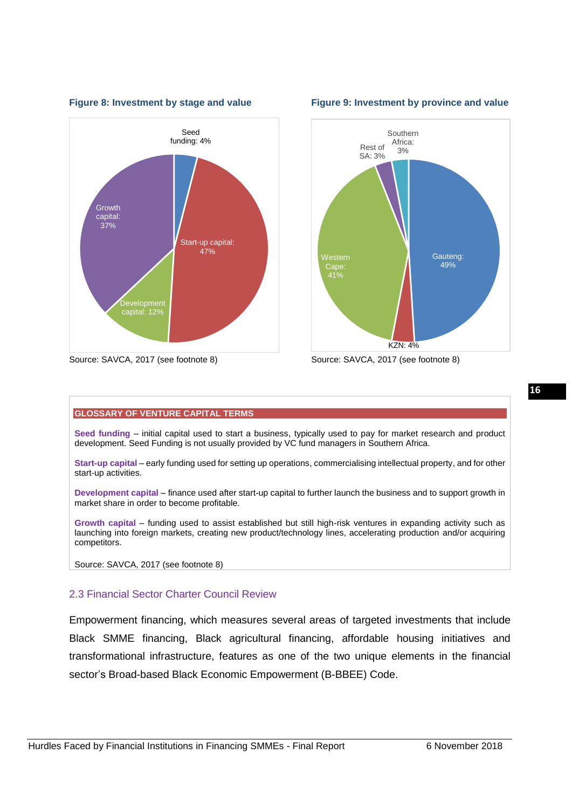



#### **Figure 8: Investment by stage and value Figure 9: Investment by province and value**



#### **GLOSSARY OF VENTURE CAPITAL TERMS**

**Seed funding** – initial capital used to start a business, typically used to pay for market research and product development. Seed Funding is not usually provided by VC fund managers in Southern Africa.

**Start-up capital** – early funding used for setting up operations, commercialising intellectual property, and for other start-up activities.

**Development capital** – finance used after start-up capital to further launch the business and to support growth in market share in order to become profitable.

**Growth capital** – funding used to assist established but still high-risk ventures in expanding activity such as launching into foreign markets, creating new product/technology lines, accelerating production and/or acquiring competitors.

Source: SAVCA, 2017 (see footnote 8)

# 2.3 Financial Sector Charter Council Review

Empowerment financing, which measures several areas of targeted investments that include Black SMME financing, Black agricultural financing, affordable housing initiatives and transformational infrastructure, features as one of the two unique elements in the financial sector's Broad-based Black Economic Empowerment (B-BBEE) Code.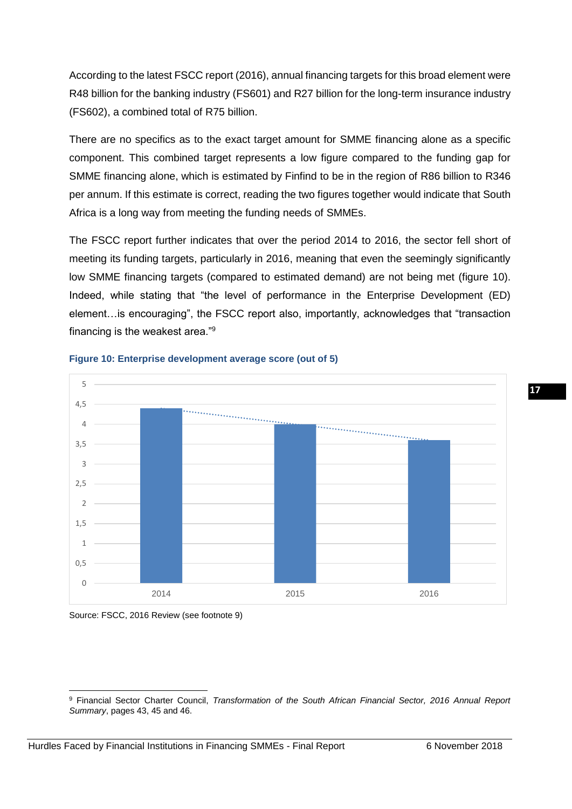According to the latest FSCC report (2016), annual financing targets for this broad element were R48 billion for the banking industry (FS601) and R27 billion for the long-term insurance industry (FS602), a combined total of R75 billion.

There are no specifics as to the exact target amount for SMME financing alone as a specific component. This combined target represents a low figure compared to the funding gap for SMME financing alone, which is estimated by Finfind to be in the region of R86 billion to R346 per annum. If this estimate is correct, reading the two figures together would indicate that South Africa is a long way from meeting the funding needs of SMMEs.

The FSCC report further indicates that over the period 2014 to 2016, the sector fell short of meeting its funding targets, particularly in 2016, meaning that even the seemingly significantly low SMME financing targets (compared to estimated demand) are not being met (figure 10). Indeed, while stating that "the level of performance in the Enterprise Development (ED) element…is encouraging", the FSCC report also, importantly, acknowledges that "transaction financing is the weakest area."<sup>9</sup>



#### **Figure 10: Enterprise development average score (out of 5)**

Source: FSCC, 2016 Review (see footnote 9)

**<sup>.</sup>** <sup>9</sup> Financial Sector Charter Council, *Transformation of the South African Financial Sector, 2016 Annual Report Summary*, pages 43, 45 and 46.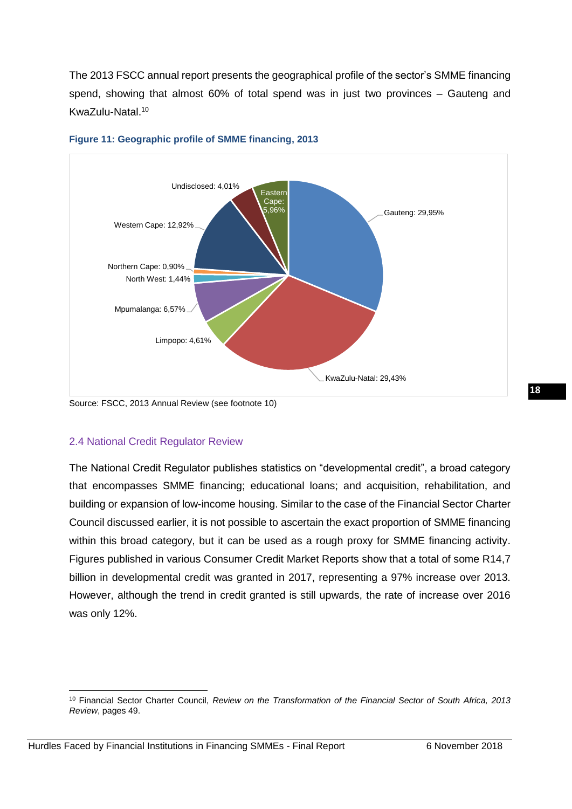The 2013 FSCC annual report presents the geographical profile of the sector's SMME financing spend, showing that almost 60% of total spend was in just two provinces – Gauteng and KwaZulu-Natal.<sup>10</sup>



#### **Figure 11: Geographic profile of SMME financing, 2013**

Source: FSCC, 2013 Annual Review (see footnote 10)

# 2.4 National Credit Regulator Review

The National Credit Regulator publishes statistics on "developmental credit", a broad category that encompasses SMME financing; educational loans; and acquisition, rehabilitation, and building or expansion of low-income housing. Similar to the case of the Financial Sector Charter Council discussed earlier, it is not possible to ascertain the exact proportion of SMME financing within this broad category, but it can be used as a rough proxy for SMME financing activity. Figures published in various Consumer Credit Market Reports show that a total of some R14,7 billion in developmental credit was granted in 2017, representing a 97% increase over 2013. However, although the trend in credit granted is still upwards, the rate of increase over 2016 was only 12%.

**<sup>.</sup>** <sup>10</sup> Financial Sector Charter Council, *Review on the Transformation of the Financial Sector of South Africa, 2013 Review*, pages 49.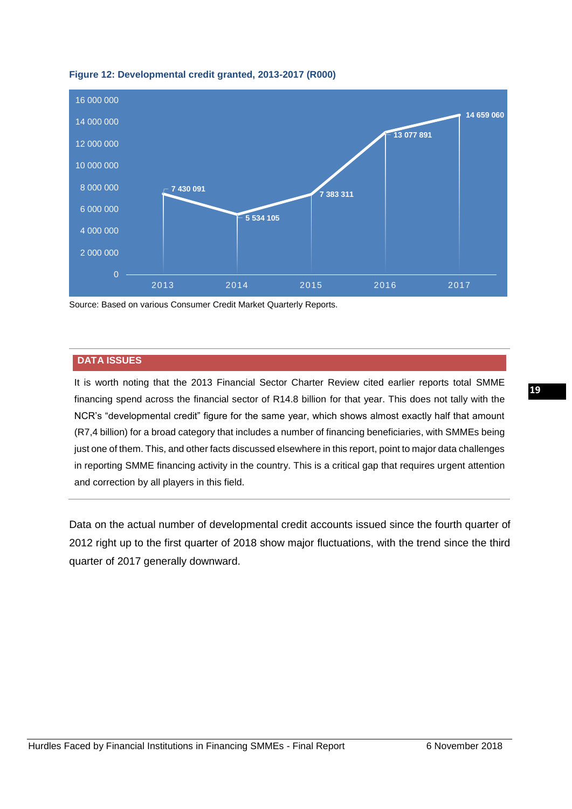

#### **Figure 12: Developmental credit granted, 2013-2017 (R000)**

Source: Based on various Consumer Credit Market Quarterly Reports.

#### **DATA ISSUES**

It is worth noting that the 2013 Financial Sector Charter Review cited earlier reports total SMME financing spend across the financial sector of R14.8 billion for that year. This does not tally with the NCR's "developmental credit" figure for the same year, which shows almost exactly half that amount (R7,4 billion) for a broad category that includes a number of financing beneficiaries, with SMMEs being just one of them. This, and other facts discussed elsewhere in this report, point to major data challenges in reporting SMME financing activity in the country. This is a critical gap that requires urgent attention and correction by all players in this field.

Data on the actual number of developmental credit accounts issued since the fourth quarter of 2012 right up to the first quarter of 2018 show major fluctuations, with the trend since the third quarter of 2017 generally downward.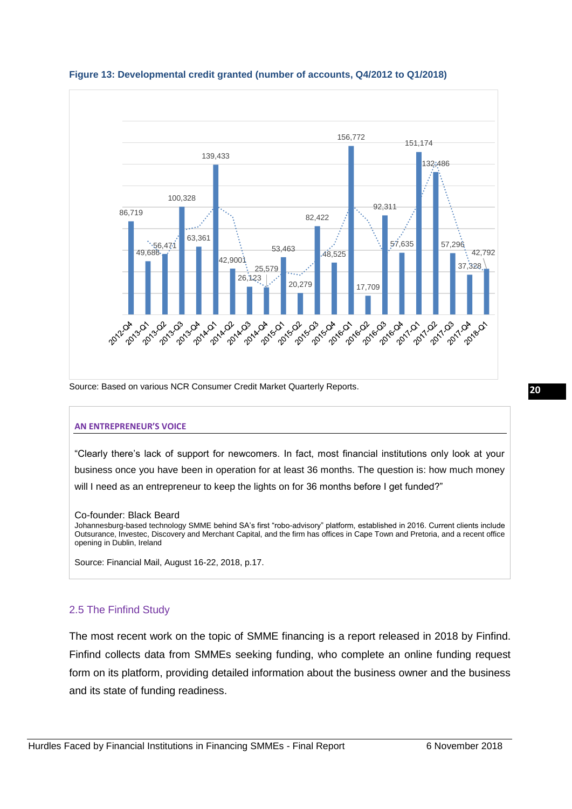

#### **Figure 13: Developmental credit granted (number of accounts, Q4/2012 to Q1/2018)**

Source: Based on various NCR Consumer Credit Market Quarterly Reports.

#### **AN ENTREPRENEUR'S VOICE**

"Clearly there's lack of support for newcomers. In fact, most financial institutions only look at your business once you have been in operation for at least 36 months. The question is: how much money will I need as an entrepreneur to keep the lights on for 36 months before I get funded?"

#### Co-founder: Black Beard

Johannesburg-based technology SMME behind SA's first "robo-advisory" platform, established in 2016. Current clients include Outsurance, Investec, Discovery and Merchant Capital, and the firm has offices in Cape Town and Pretoria, and a recent office opening in Dublin, Ireland

Source: Financial Mail, August 16-22, 2018, p.17.

#### 2.5 The Finfind Study

The most recent work on the topic of SMME financing is a report released in 2018 by Finfind. Finfind collects data from SMMEs seeking funding, who complete an online funding request form on its platform, providing detailed information about the business owner and the business and its state of funding readiness.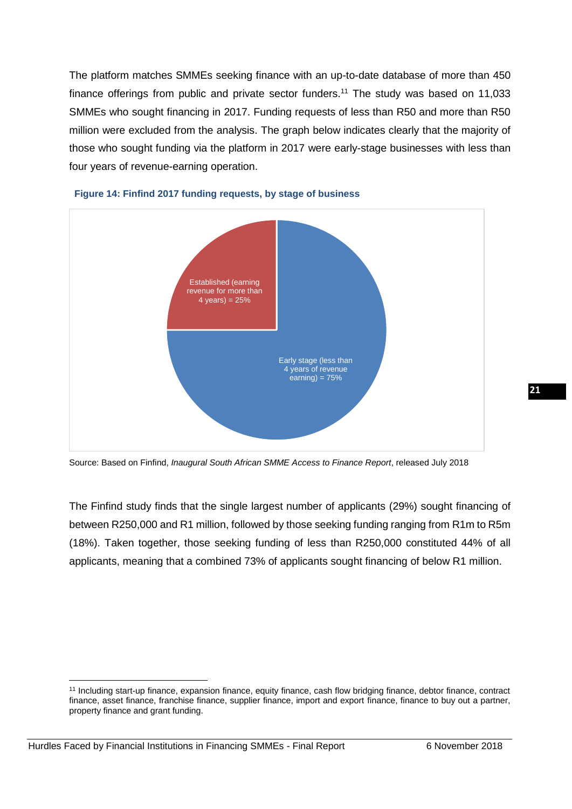The platform matches SMMEs seeking finance with an up-to-date database of more than 450 finance offerings from public and private sector funders.<sup>11</sup> The study was based on 11,033 SMMEs who sought financing in 2017. Funding requests of less than R50 and more than R50 million were excluded from the analysis. The graph below indicates clearly that the majority of those who sought funding via the platform in 2017 were early-stage businesses with less than four years of revenue-earning operation.



#### **Figure 14: Finfind 2017 funding requests, by stage of business**

Source: Based on Finfind, *Inaugural South African SMME Access to Finance Report*, released July 2018

The Finfind study finds that the single largest number of applicants (29%) sought financing of between R250,000 and R1 million, followed by those seeking funding ranging from R1m to R5m (18%). Taken together, those seeking funding of less than R250,000 constituted 44% of all applicants, meaning that a combined 73% of applicants sought financing of below R1 million.

<sup>1</sup> <sup>11</sup> Including start-up finance, expansion finance, equity finance, cash flow bridging finance, debtor finance, contract finance, asset finance, franchise finance, supplier finance, import and export finance, finance to buy out a partner, property finance and grant funding.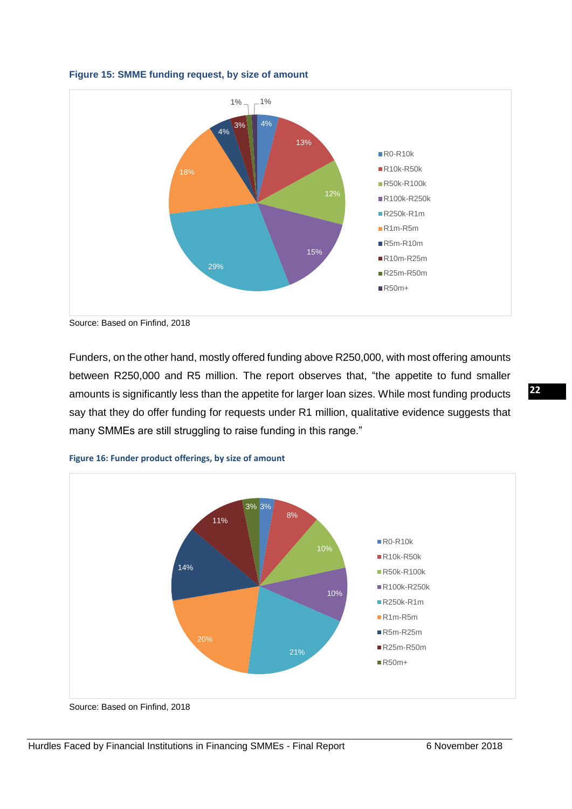

#### **Figure 15: SMME funding request, by size of amount**

Funders, on the other hand, mostly offered funding above R250,000, with most offering amounts between R250,000 and R5 million. The report observes that, "the appetite to fund smaller amounts is significantly less than the appetite for larger loan sizes. While most funding products say that they do offer funding for requests under R1 million, qualitative evidence suggests that many SMMEs are still struggling to raise funding in this range."



**Figure 16: Funder product offerings, by size of amount**

Source: Based on Finfind, 2018

Source: Based on Finfind, 2018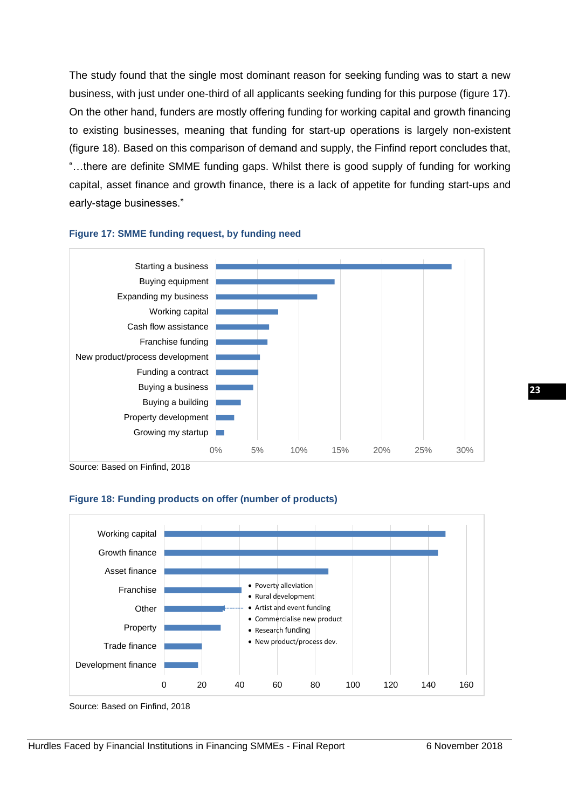The study found that the single most dominant reason for seeking funding was to start a new business, with just under one-third of all applicants seeking funding for this purpose (figure 17). On the other hand, funders are mostly offering funding for working capital and growth financing to existing businesses, meaning that funding for start-up operations is largely non-existent (figure 18). Based on this comparison of demand and supply, the Finfind report concludes that, "…there are definite SMME funding gaps. Whilst there is good supply of funding for working capital, asset finance and growth finance, there is a lack of appetite for funding start-ups and early-stage businesses."



#### **Figure 17: SMME funding request, by funding need**

Source: Based on Finfind, 2018

#### **Figure 18: Funding products on offer (number of products)**



Source: Based on Finfind, 2018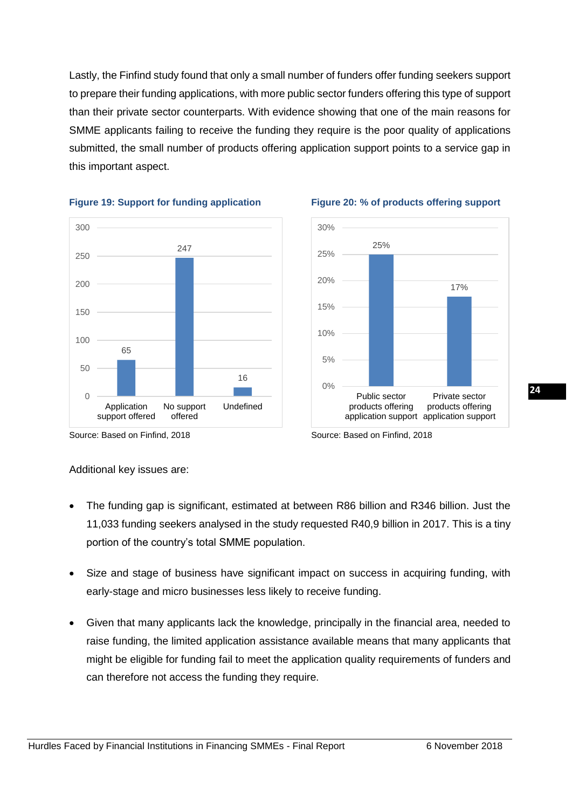Lastly, the Finfind study found that only a small number of funders offer funding seekers support to prepare their funding applications, with more public sector funders offering this type of support than their private sector counterparts. With evidence showing that one of the main reasons for SMME applicants failing to receive the funding they require is the poor quality of applications submitted, the small number of products offering application support points to a service gap in this important aspect.







#### Source: Based on Finfind, 2018 Source: Based on Finfind, 2018

#### Additional key issues are:

- The funding gap is significant, estimated at between R86 billion and R346 billion. Just the 11,033 funding seekers analysed in the study requested R40,9 billion in 2017. This is a tiny portion of the country's total SMME population.
- Size and stage of business have significant impact on success in acquiring funding, with early-stage and micro businesses less likely to receive funding.
- Given that many applicants lack the knowledge, principally in the financial area, needed to raise funding, the limited application assistance available means that many applicants that might be eligible for funding fail to meet the application quality requirements of funders and can therefore not access the funding they require.

**24**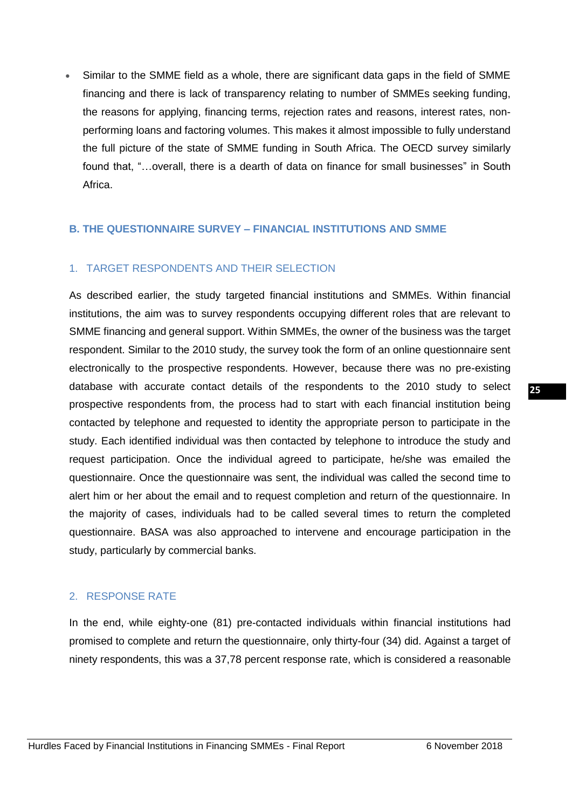• Similar to the SMME field as a whole, there are significant data gaps in the field of SMME financing and there is lack of transparency relating to number of SMMEs seeking funding, the reasons for applying, financing terms, rejection rates and reasons, interest rates, nonperforming loans and factoring volumes. This makes it almost impossible to fully understand the full picture of the state of SMME funding in South Africa. The OECD survey similarly found that, "…overall, there is a dearth of data on finance for small businesses" in South Africa.

# <span id="page-26-0"></span>**B. THE QUESTIONNAIRE SURVEY – FINANCIAL INSTITUTIONS AND SMME**

# 1. TARGET RESPONDENTS AND THEIR SELECTION

As described earlier, the study targeted financial institutions and SMMEs. Within financial institutions, the aim was to survey respondents occupying different roles that are relevant to SMME financing and general support. Within SMMEs, the owner of the business was the target respondent. Similar to the 2010 study, the survey took the form of an online questionnaire sent electronically to the prospective respondents. However, because there was no pre-existing database with accurate contact details of the respondents to the 2010 study to select prospective respondents from, the process had to start with each financial institution being contacted by telephone and requested to identity the appropriate person to participate in the study. Each identified individual was then contacted by telephone to introduce the study and request participation. Once the individual agreed to participate, he/she was emailed the questionnaire. Once the questionnaire was sent, the individual was called the second time to alert him or her about the email and to request completion and return of the questionnaire. In the majority of cases, individuals had to be called several times to return the completed questionnaire. BASA was also approached to intervene and encourage participation in the study, particularly by commercial banks.

#### 2. RESPONSE RATE

In the end, while eighty-one (81) pre-contacted individuals within financial institutions had promised to complete and return the questionnaire, only thirty-four (34) did. Against a target of ninety respondents, this was a 37,78 percent response rate, which is considered a reasonable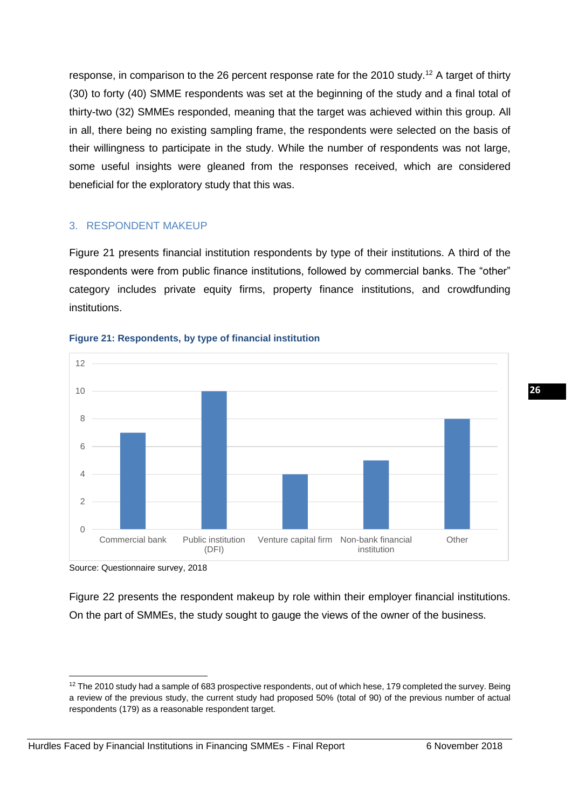response, in comparison to the 26 percent response rate for the 2010 study.<sup>12</sup> A target of thirty (30) to forty (40) SMME respondents was set at the beginning of the study and a final total of thirty-two (32) SMMEs responded, meaning that the target was achieved within this group. All in all, there being no existing sampling frame, the respondents were selected on the basis of their willingness to participate in the study. While the number of respondents was not large, some useful insights were gleaned from the responses received, which are considered beneficial for the exploratory study that this was.

# 3. RESPONDENT MAKEUP

Figure 21 presents financial institution respondents by type of their institutions. A third of the respondents were from public finance institutions, followed by commercial banks. The "other" category includes private equity firms, property finance institutions, and crowdfunding institutions.



#### **Figure 21: Respondents, by type of financial institution**

Source: Questionnaire survey, 2018

Figure 22 presents the respondent makeup by role within their employer financial institutions. On the part of SMMEs, the study sought to gauge the views of the owner of the business.

**<sup>.</sup>** <sup>12</sup> The 2010 study had a sample of 683 prospective respondents, out of which hese, 179 completed the survey. Being a review of the previous study, the current study had proposed 50% (total of 90) of the previous number of actual respondents (179) as a reasonable respondent target.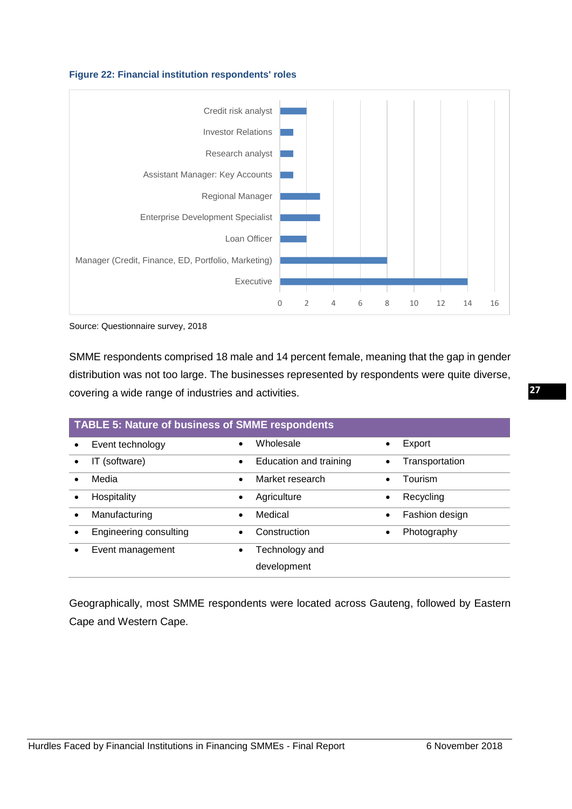



Source: Questionnaire survey, 2018

SMME respondents comprised 18 male and 14 percent female, meaning that the gap in gender distribution was not too large. The businesses represented by respondents were quite diverse, covering a wide range of industries and activities.

| <b>TABLE 5: Nature of business of SMME respondents</b> |                        |           |                        |           |                |
|--------------------------------------------------------|------------------------|-----------|------------------------|-----------|----------------|
|                                                        | Event technology       | $\bullet$ | Wholesale              |           | Export         |
|                                                        | IT (software)          | $\bullet$ | Education and training |           | Transportation |
|                                                        | Media                  | $\bullet$ | Market research        |           | Tourism        |
|                                                        | Hospitality            | $\bullet$ | Agriculture            | $\bullet$ | Recycling      |
|                                                        | Manufacturing          | $\bullet$ | Medical                |           | Fashion design |
|                                                        | Engineering consulting |           | Construction           | $\bullet$ | Photography    |
|                                                        | Event management       | $\bullet$ | Technology and         |           |                |
|                                                        |                        |           | development            |           |                |

Geographically, most SMME respondents were located across Gauteng, followed by Eastern Cape and Western Cape.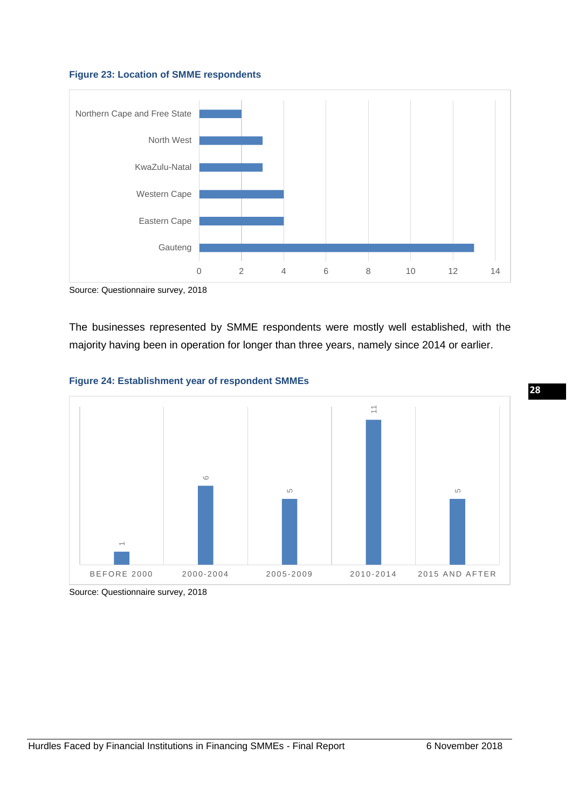



Source: Questionnaire survey, 2018

The businesses represented by SMME respondents were mostly well established, with the majority having been in operation for longer than three years, namely since 2014 or earlier.





Source: Questionnaire survey, 2018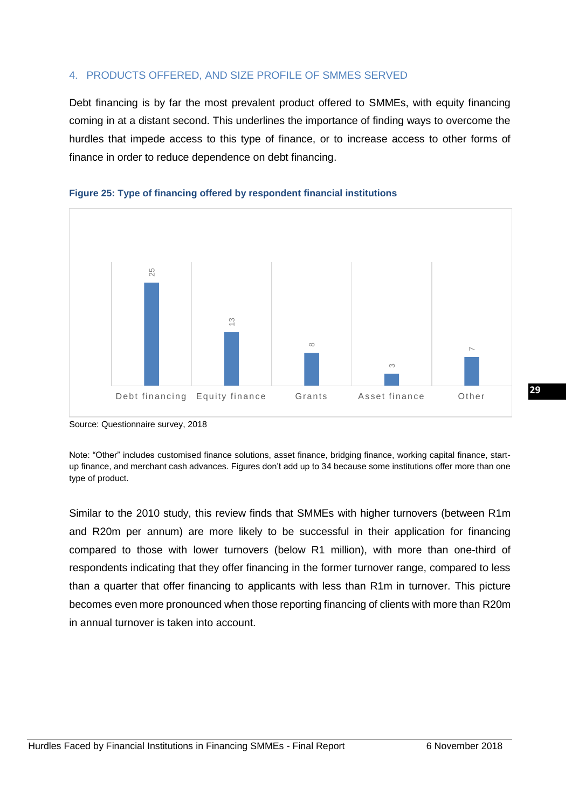# 4. PRODUCTS OFFERED, AND SIZE PROFILE OF SMMES SERVED

Debt financing is by far the most prevalent product offered to SMMEs, with equity financing coming in at a distant second. This underlines the importance of finding ways to overcome the hurdles that impede access to this type of finance, or to increase access to other forms of finance in order to reduce dependence on debt financing.





Source: Questionnaire survey, 2018

Note: "Other" includes customised finance solutions, asset finance, bridging finance, working capital finance, startup finance, and merchant cash advances. Figures don't add up to 34 because some institutions offer more than one type of product.

Similar to the 2010 study, this review finds that SMMEs with higher turnovers (between R1m and R20m per annum) are more likely to be successful in their application for financing compared to those with lower turnovers (below R1 million), with more than one-third of respondents indicating that they offer financing in the former turnover range, compared to less than a quarter that offer financing to applicants with less than R1m in turnover. This picture becomes even more pronounced when those reporting financing of clients with more than R20m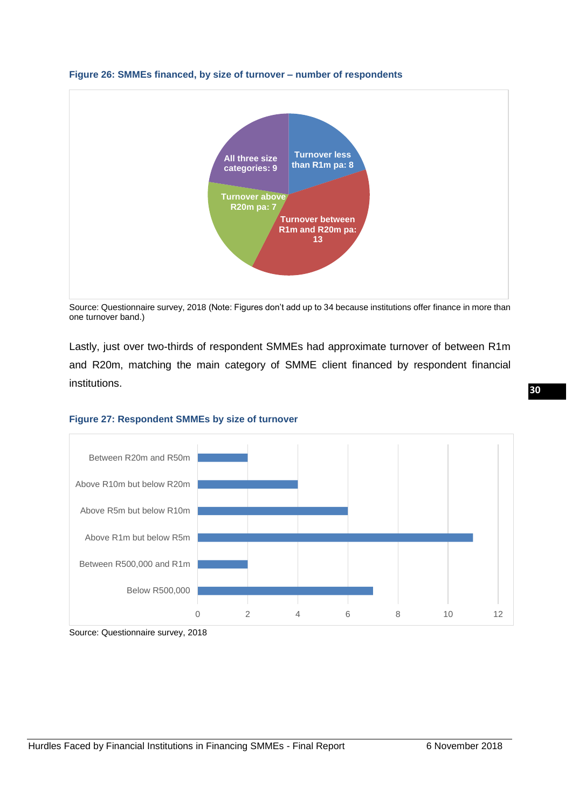

#### **Figure 26: SMMEs financed, by size of turnover – number of respondents**

Source: Questionnaire survey, 2018 (Note: Figures don't add up to 34 because institutions offer finance in more than one turnover band.)

Lastly, just over two-thirds of respondent SMMEs had approximate turnover of between R1m and R20m, matching the main category of SMME client financed by respondent financial institutions.



#### **Figure 27: Respondent SMMEs by size of turnover**

Source: Questionnaire survey, 2018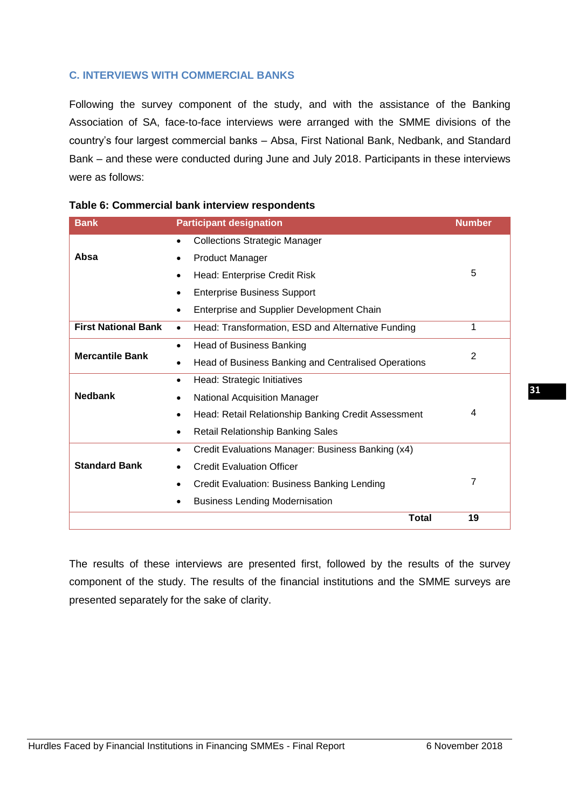# <span id="page-32-0"></span>**C. INTERVIEWS WITH COMMERCIAL BANKS**

Following the survey component of the study, and with the assistance of the Banking Association of SA, face-to-face interviews were arranged with the SMME divisions of the country's four largest commercial banks – Absa, First National Bank, Nedbank, and Standard Bank – and these were conducted during June and July 2018. Participants in these interviews were as follows:

| <b>Bank</b>                | <b>Participant designation</b><br><b>Number</b>                  |                |  |  |
|----------------------------|------------------------------------------------------------------|----------------|--|--|
|                            | <b>Collections Strategic Manager</b><br>$\bullet$                |                |  |  |
| Absa                       | <b>Product Manager</b>                                           |                |  |  |
|                            | Head: Enterprise Credit Risk<br>$\bullet$                        | 5              |  |  |
|                            | <b>Enterprise Business Support</b><br>$\bullet$                  |                |  |  |
|                            | Enterprise and Supplier Development Chain<br>$\bullet$           |                |  |  |
| <b>First National Bank</b> | Head: Transformation, ESD and Alternative Funding<br>$\bullet$   | 1              |  |  |
|                            | <b>Head of Business Banking</b><br>$\bullet$                     |                |  |  |
| <b>Mercantile Bank</b>     | Head of Business Banking and Centralised Operations<br>٠         | 2              |  |  |
|                            | Head: Strategic Initiatives<br>$\bullet$                         |                |  |  |
| <b>Nedbank</b>             | <b>National Acquisition Manager</b><br>$\bullet$                 |                |  |  |
|                            | Head: Retail Relationship Banking Credit Assessment<br>$\bullet$ | 4              |  |  |
|                            | <b>Retail Relationship Banking Sales</b><br>$\bullet$            |                |  |  |
|                            | Credit Evaluations Manager: Business Banking (x4)<br>$\bullet$   |                |  |  |
| <b>Standard Bank</b>       | <b>Credit Evaluation Officer</b><br>$\bullet$                    |                |  |  |
|                            | Credit Evaluation: Business Banking Lending<br>$\bullet$         | $\overline{7}$ |  |  |
|                            | <b>Business Lending Modernisation</b>                            |                |  |  |
|                            | <b>Total</b>                                                     | 19             |  |  |

<span id="page-32-1"></span>The results of these interviews are presented first, followed by the results of the survey component of the study. The results of the financial institutions and the SMME surveys are presented separately for the sake of clarity.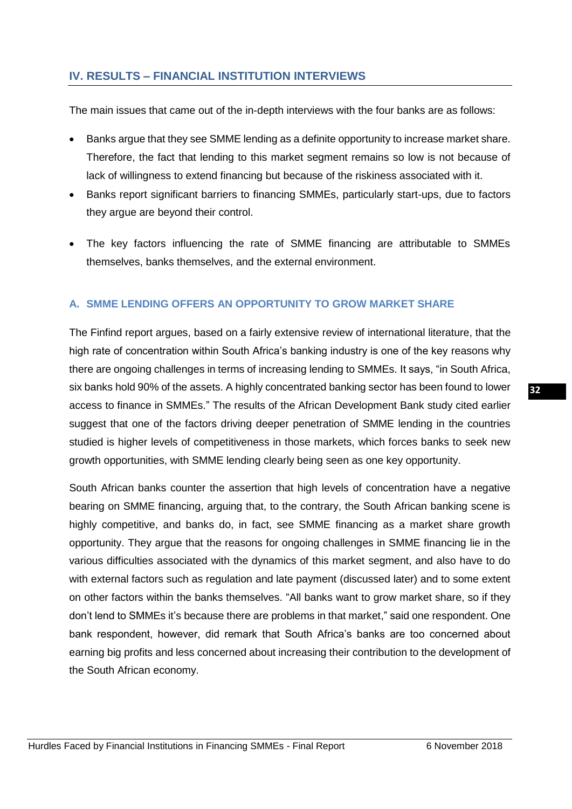# **IV. RESULTS – FINANCIAL INSTITUTION INTERVIEWS**

The main issues that came out of the in-depth interviews with the four banks are as follows:

- Banks argue that they see SMME lending as a definite opportunity to increase market share. Therefore, the fact that lending to this market segment remains so low is not because of lack of willingness to extend financing but because of the riskiness associated with it.
- Banks report significant barriers to financing SMMEs, particularly start-ups, due to factors they argue are beyond their control.
- The key factors influencing the rate of SMME financing are attributable to SMMEs themselves, banks themselves, and the external environment.

# <span id="page-33-0"></span>**A. SMME LENDING OFFERS AN OPPORTUNITY TO GROW MARKET SHARE**

The Finfind report argues, based on a fairly extensive review of international literature, that the high rate of concentration within South Africa's banking industry is one of the key reasons why there are ongoing challenges in terms of increasing lending to SMMEs. It says, "in South Africa, six banks hold 90% of the assets. A highly concentrated banking sector has been found to lower access to finance in SMMEs." The results of the African Development Bank study cited earlier suggest that one of the factors driving deeper penetration of SMME lending in the countries studied is higher levels of competitiveness in those markets, which forces banks to seek new growth opportunities, with SMME lending clearly being seen as one key opportunity.

South African banks counter the assertion that high levels of concentration have a negative bearing on SMME financing, arguing that, to the contrary, the South African banking scene is highly competitive, and banks do, in fact, see SMME financing as a market share growth opportunity. They argue that the reasons for ongoing challenges in SMME financing lie in the various difficulties associated with the dynamics of this market segment, and also have to do with external factors such as regulation and late payment (discussed later) and to some extent on other factors within the banks themselves. "All banks want to grow market share, so if they don't lend to SMMEs it's because there are problems in that market," said one respondent. One bank respondent, however, did remark that South Africa's banks are too concerned about earning big profits and less concerned about increasing their contribution to the development of the South African economy.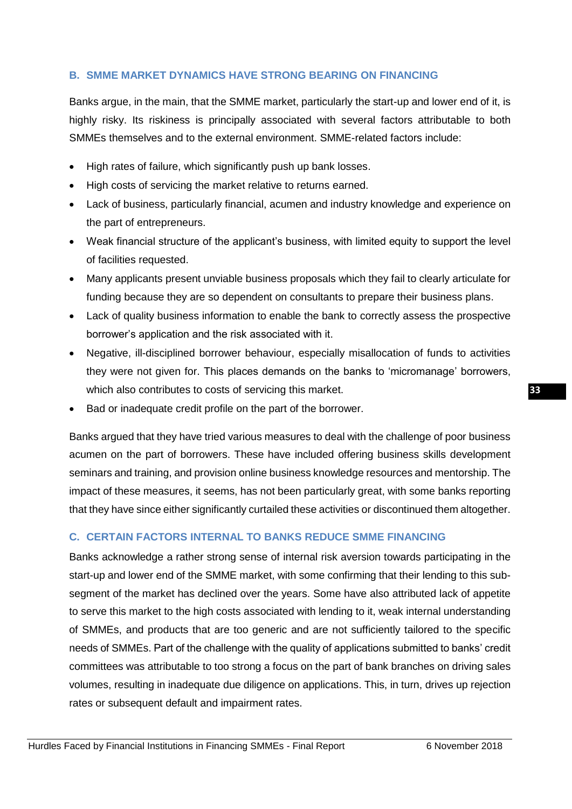# <span id="page-34-0"></span>**B. SMME MARKET DYNAMICS HAVE STRONG BEARING ON FINANCING**

Banks argue, in the main, that the SMME market, particularly the start-up and lower end of it, is highly risky. Its riskiness is principally associated with several factors attributable to both SMMEs themselves and to the external environment. SMME-related factors include:

- High rates of failure, which significantly push up bank losses.
- High costs of servicing the market relative to returns earned.
- Lack of business, particularly financial, acumen and industry knowledge and experience on the part of entrepreneurs.
- Weak financial structure of the applicant's business, with limited equity to support the level of facilities requested.
- Many applicants present unviable business proposals which they fail to clearly articulate for funding because they are so dependent on consultants to prepare their business plans.
- Lack of quality business information to enable the bank to correctly assess the prospective borrower's application and the risk associated with it.
- Negative, ill-disciplined borrower behaviour, especially misallocation of funds to activities they were not given for. This places demands on the banks to 'micromanage' borrowers, which also contributes to costs of servicing this market.
- Bad or inadequate credit profile on the part of the borrower.

Banks argued that they have tried various measures to deal with the challenge of poor business acumen on the part of borrowers. These have included offering business skills development seminars and training, and provision online business knowledge resources and mentorship. The impact of these measures, it seems, has not been particularly great, with some banks reporting that they have since either significantly curtailed these activities or discontinued them altogether.

# <span id="page-34-1"></span>**C. CERTAIN FACTORS INTERNAL TO BANKS REDUCE SMME FINANCING**

Banks acknowledge a rather strong sense of internal risk aversion towards participating in the start-up and lower end of the SMME market, with some confirming that their lending to this subsegment of the market has declined over the years. Some have also attributed lack of appetite to serve this market to the high costs associated with lending to it, weak internal understanding of SMMEs, and products that are too generic and are not sufficiently tailored to the specific needs of SMMEs. Part of the challenge with the quality of applications submitted to banks' credit committees was attributable to too strong a focus on the part of bank branches on driving sales volumes, resulting in inadequate due diligence on applications. This, in turn, drives up rejection rates or subsequent default and impairment rates.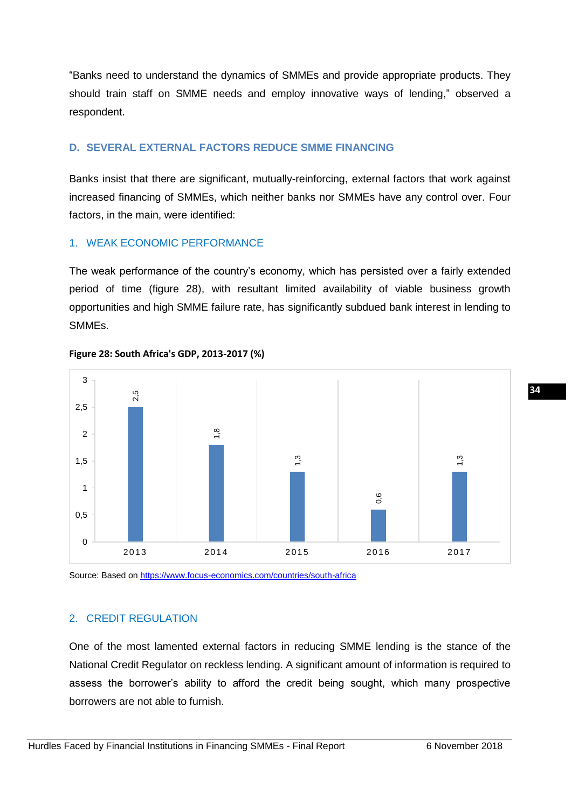"Banks need to understand the dynamics of SMMEs and provide appropriate products. They should train staff on SMME needs and employ innovative ways of lending," observed a respondent.

# <span id="page-35-0"></span>**D. SEVERAL EXTERNAL FACTORS REDUCE SMME FINANCING**

Banks insist that there are significant, mutually-reinforcing, external factors that work against increased financing of SMMEs, which neither banks nor SMMEs have any control over. Four factors, in the main, were identified:

# 1. WEAK ECONOMIC PERFORMANCE

The weak performance of the country's economy, which has persisted over a fairly extended period of time (figure 28), with resultant limited availability of viable business growth opportunities and high SMME failure rate, has significantly subdued bank interest in lending to SMMEs.



**Figure 28: South Africa's GDP, 2013-2017 (%)**

Source: Based on<https://www.focus-economics.com/countries/south-africa>

# 2. CREDIT REGULATION

One of the most lamented external factors in reducing SMME lending is the stance of the National Credit Regulator on reckless lending. A significant amount of information is required to assess the borrower's ability to afford the credit being sought, which many prospective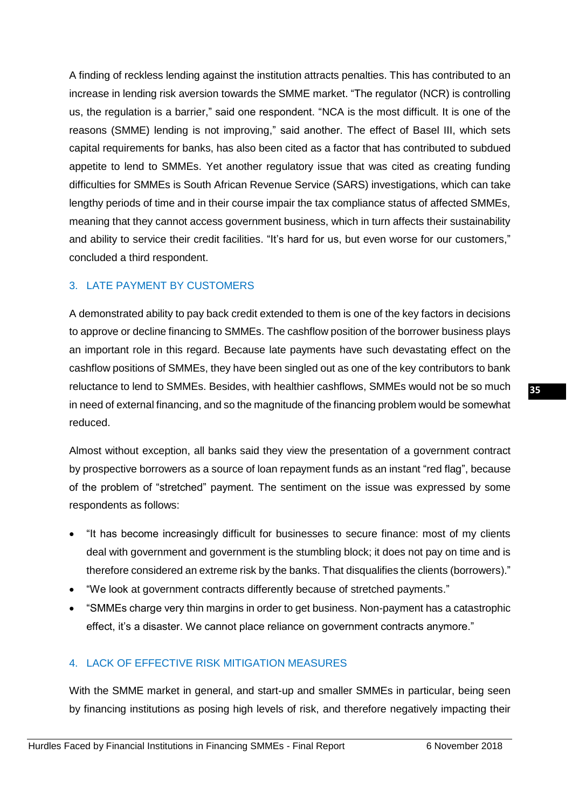A finding of reckless lending against the institution attracts penalties. This has contributed to an increase in lending risk aversion towards the SMME market. "The regulator (NCR) is controlling us, the regulation is a barrier," said one respondent. "NCA is the most difficult. It is one of the reasons (SMME) lending is not improving," said another. The effect of Basel III, which sets capital requirements for banks, has also been cited as a factor that has contributed to subdued appetite to lend to SMMEs. Yet another regulatory issue that was cited as creating funding difficulties for SMMEs is South African Revenue Service (SARS) investigations, which can take lengthy periods of time and in their course impair the tax compliance status of affected SMMEs, meaning that they cannot access government business, which in turn affects their sustainability and ability to service their credit facilities. "It's hard for us, but even worse for our customers," concluded a third respondent.

# 3. LATE PAYMENT BY CUSTOMERS

A demonstrated ability to pay back credit extended to them is one of the key factors in decisions to approve or decline financing to SMMEs. The cashflow position of the borrower business plays an important role in this regard. Because late payments have such devastating effect on the cashflow positions of SMMEs, they have been singled out as one of the key contributors to bank reluctance to lend to SMMEs. Besides, with healthier cashflows, SMMEs would not be so much in need of external financing, and so the magnitude of the financing problem would be somewhat reduced.

Almost without exception, all banks said they view the presentation of a government contract by prospective borrowers as a source of loan repayment funds as an instant "red flag", because of the problem of "stretched" payment. The sentiment on the issue was expressed by some respondents as follows:

- "It has become increasingly difficult for businesses to secure finance: most of my clients deal with government and government is the stumbling block; it does not pay on time and is therefore considered an extreme risk by the banks. That disqualifies the clients (borrowers)."
- "We look at government contracts differently because of stretched payments."
- "SMMEs charge very thin margins in order to get business. Non-payment has a catastrophic effect, it's a disaster. We cannot place reliance on government contracts anymore."

# 4. LACK OF EFFECTIVE RISK MITIGATION MEASURES

With the SMME market in general, and start-up and smaller SMMEs in particular, being seen by financing institutions as posing high levels of risk, and therefore negatively impacting their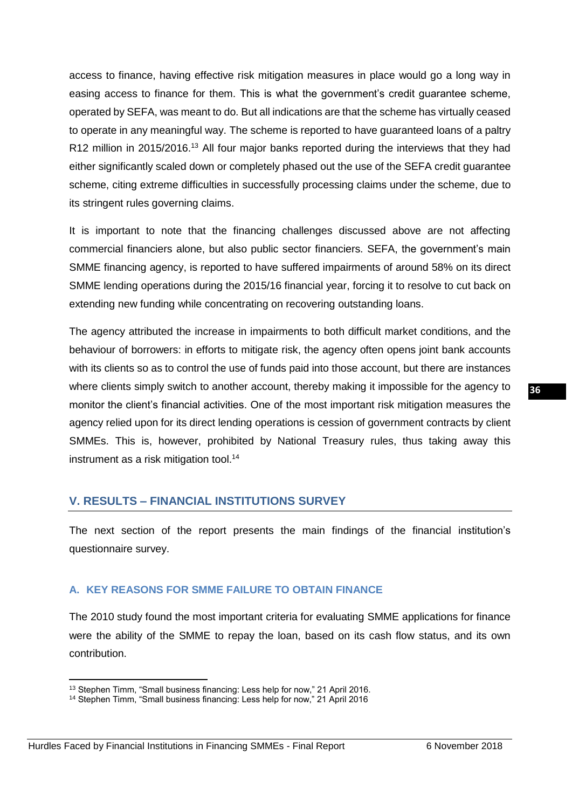access to finance, having effective risk mitigation measures in place would go a long way in easing access to finance for them. This is what the government's credit guarantee scheme, operated by SEFA, was meant to do. But all indications are that the scheme has virtually ceased to operate in any meaningful way. The scheme is reported to have guaranteed loans of a paltry R12 million in 2015/2016.<sup>13</sup> All four major banks reported during the interviews that they had either significantly scaled down or completely phased out the use of the SEFA credit guarantee scheme, citing extreme difficulties in successfully processing claims under the scheme, due to its stringent rules governing claims.

It is important to note that the financing challenges discussed above are not affecting commercial financiers alone, but also public sector financiers. SEFA, the government's main SMME financing agency, is reported to have suffered impairments of around 58% on its direct SMME lending operations during the 2015/16 financial year, forcing it to resolve to cut back on extending new funding while concentrating on recovering outstanding loans.

The agency attributed the increase in impairments to both difficult market conditions, and the behaviour of borrowers: in efforts to mitigate risk, the agency often opens joint bank accounts with its clients so as to control the use of funds paid into those account, but there are instances where clients simply switch to another account, thereby making it impossible for the agency to monitor the client's financial activities. One of the most important risk mitigation measures the agency relied upon for its direct lending operations is cession of government contracts by client SMMEs. This is, however, prohibited by National Treasury rules, thus taking away this instrument as a risk mitigation tool.<sup>14</sup>

# <span id="page-37-0"></span>**V. RESULTS – FINANCIAL INSTITUTIONS SURVEY**

The next section of the report presents the main findings of the financial institution's questionnaire survey.

#### <span id="page-37-1"></span>**A. KEY REASONS FOR SMME FAILURE TO OBTAIN FINANCE**

The 2010 study found the most important criteria for evaluating SMME applications for finance were the ability of the SMME to repay the loan, based on its cash flow status, and its own contribution.

1

<sup>&</sup>lt;sup>13</sup> Stephen Timm, "Small business financing: Less help for now," 21 April 2016.

<sup>&</sup>lt;sup>14</sup> Stephen Timm, "Small business financing: Less help for now," 21 April 2016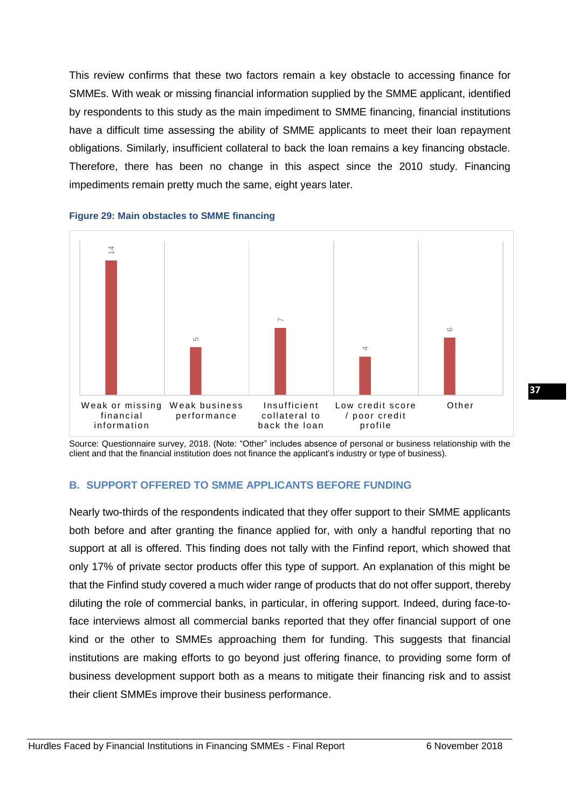This review confirms that these two factors remain a key obstacle to accessing finance for SMMEs. With weak or missing financial information supplied by the SMME applicant, identified by respondents to this study as the main impediment to SMME financing, financial institutions have a difficult time assessing the ability of SMME applicants to meet their loan repayment obligations. Similarly, insufficient collateral to back the loan remains a key financing obstacle. Therefore, there has been no change in this aspect since the 2010 study. Financing impediments remain pretty much the same, eight years later.



#### **Figure 29: Main obstacles to SMME financing**

Source: Questionnaire survey, 2018. (Note: "Other" includes absence of personal or business relationship with the client and that the financial institution does not finance the applicant's industry or type of business).

#### <span id="page-38-0"></span>**B. SUPPORT OFFERED TO SMME APPLICANTS BEFORE FUNDING**

Nearly two-thirds of the respondents indicated that they offer support to their SMME applicants both before and after granting the finance applied for, with only a handful reporting that no support at all is offered. This finding does not tally with the Finfind report, which showed that only 17% of private sector products offer this type of support. An explanation of this might be that the Finfind study covered a much wider range of products that do not offer support, thereby diluting the role of commercial banks, in particular, in offering support. Indeed, during face-toface interviews almost all commercial banks reported that they offer financial support of one kind or the other to SMMEs approaching them for funding. This suggests that financial institutions are making efforts to go beyond just offering finance, to providing some form of business development support both as a means to mitigate their financing risk and to assist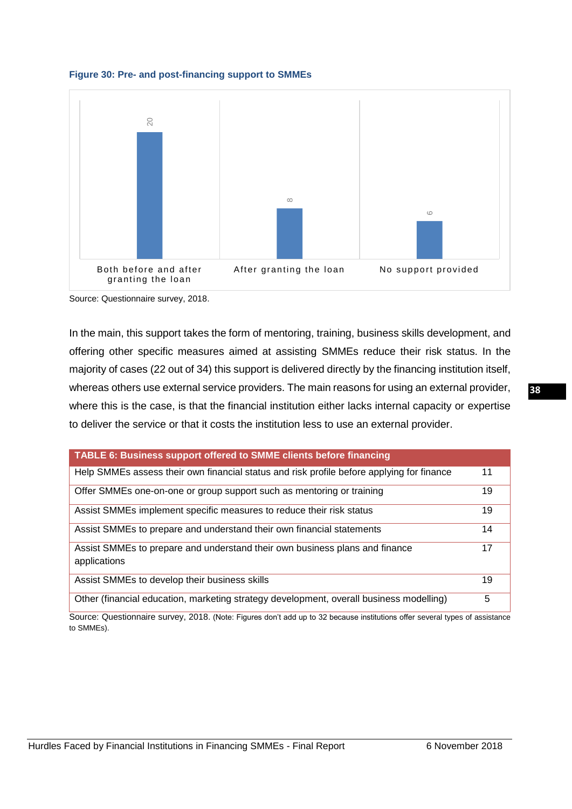



Source: Questionnaire survey, 2018.

In the main, this support takes the form of mentoring, training, business skills development, and offering other specific measures aimed at assisting SMMEs reduce their risk status. In the majority of cases (22 out of 34) this support is delivered directly by the financing institution itself, whereas others use external service providers. The main reasons for using an external provider, where this is the case, is that the financial institution either lacks internal capacity or expertise to deliver the service or that it costs the institution less to use an external provider.

| TABLE 6: Business support offered to SMME clients before financing                          |    |
|---------------------------------------------------------------------------------------------|----|
| Help SMMEs assess their own financial status and risk profile before applying for finance   | 11 |
| Offer SMMEs one-on-one or group support such as mentoring or training                       | 19 |
| Assist SMMEs implement specific measures to reduce their risk status                        | 19 |
| Assist SMMEs to prepare and understand their own financial statements                       | 14 |
| Assist SMMEs to prepare and understand their own business plans and finance<br>applications | 17 |
| Assist SMMEs to develop their business skills                                               | 19 |
| Other (financial education, marketing strategy development, overall business modelling)     | 5  |

Source: Questionnaire survey, 2018. (Note: Figures don't add up to 32 because institutions offer several types of assistance to SMMEs).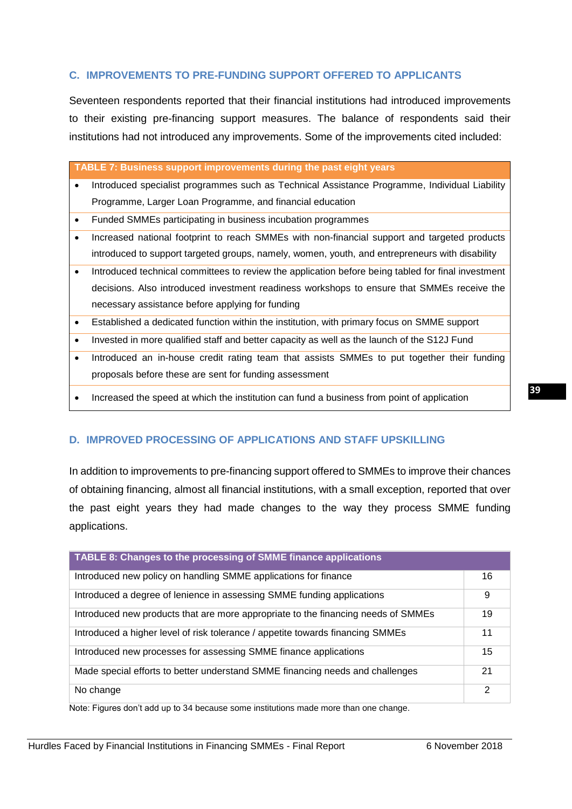# <span id="page-40-0"></span>**C. IMPROVEMENTS TO PRE-FUNDING SUPPORT OFFERED TO APPLICANTS**

Seventeen respondents reported that their financial institutions had introduced improvements to their existing pre-financing support measures. The balance of respondents said their institutions had not introduced any improvements. Some of the improvements cited included:

**TABLE 7: Business support improvements during the past eight years**

- Introduced specialist programmes such as Technical Assistance Programme, Individual Liability Programme, Larger Loan Programme, and financial education
- Funded SMMEs participating in business incubation programmes
- Increased national footprint to reach SMMEs with non-financial support and targeted products introduced to support targeted groups, namely, women, youth, and entrepreneurs with disability
- Introduced technical committees to review the application before being tabled for final investment decisions. Also introduced investment readiness workshops to ensure that SMMEs receive the necessary assistance before applying for funding
- Established a dedicated function within the institution, with primary focus on SMME support
- Invested in more qualified staff and better capacity as well as the launch of the S12J Fund
- Introduced an in-house credit rating team that assists SMMEs to put together their funding proposals before these are sent for funding assessment
- Increased the speed at which the institution can fund a business from point of application

# <span id="page-40-1"></span>**D. IMPROVED PROCESSING OF APPLICATIONS AND STAFF UPSKILLING**

In addition to improvements to pre-financing support offered to SMMEs to improve their chances of obtaining financing, almost all financial institutions, with a small exception, reported that over the past eight years they had made changes to the way they process SMME funding applications.

| TABLE 8: Changes to the processing of SMME finance applications                   |    |
|-----------------------------------------------------------------------------------|----|
| Introduced new policy on handling SMME applications for finance                   | 16 |
| Introduced a degree of lenience in assessing SMME funding applications            | 9  |
| Introduced new products that are more appropriate to the financing needs of SMMEs | 19 |
| Introduced a higher level of risk tolerance / appetite towards financing SMMEs    | 11 |
| Introduced new processes for assessing SMME finance applications                  | 15 |
| Made special efforts to better understand SMME financing needs and challenges     | 21 |
| No change                                                                         | 2  |

Note: Figures don't add up to 34 because some institutions made more than one change.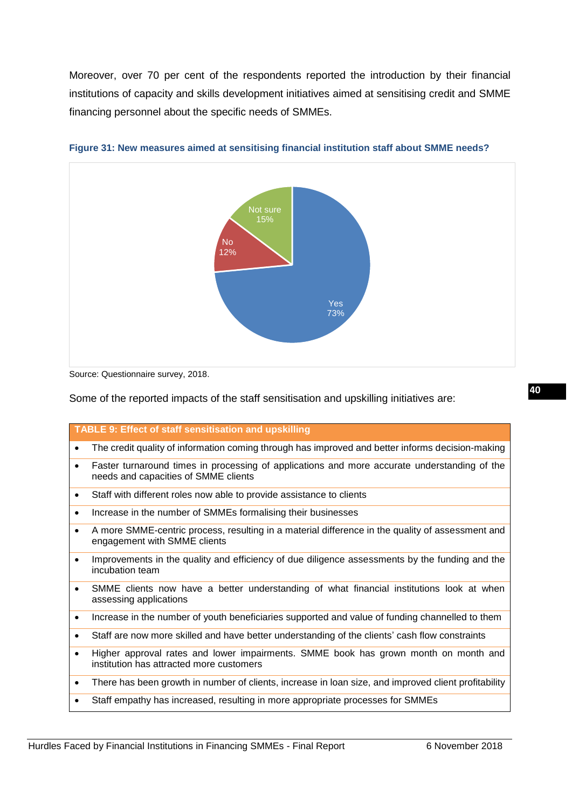Moreover, over 70 per cent of the respondents reported the introduction by their financial institutions of capacity and skills development initiatives aimed at sensitising credit and SMME financing personnel about the specific needs of SMMEs.



**Figure 31: New measures aimed at sensitising financial institution staff about SMME needs?**

Source: Questionnaire survey, 2018.

Some of the reported impacts of the staff sensitisation and upskilling initiatives are:

| <b>TABLE 9: Effect of staff sensitisation and upskilling</b>                                                                                      |  |
|---------------------------------------------------------------------------------------------------------------------------------------------------|--|
| The credit quality of information coming through has improved and better informs decision-making<br>$\bullet$                                     |  |
| Faster turnaround times in processing of applications and more accurate understanding of the<br>$\bullet$<br>needs and capacities of SMME clients |  |
| Staff with different roles now able to provide assistance to clients<br>$\bullet$                                                                 |  |
| Increase in the number of SMMEs formalising their businesses<br>$\bullet$                                                                         |  |
| A more SMME-centric process, resulting in a material difference in the quality of assessment and<br>$\bullet$<br>engagement with SMME clients     |  |
| Improvements in the quality and efficiency of due diligence assessments by the funding and the<br>$\bullet$<br>incubation team                    |  |
| SMME clients now have a better understanding of what financial institutions look at when<br>$\bullet$<br>assessing applications                   |  |
| Increase in the number of youth beneficiaries supported and value of funding channelled to them<br>$\bullet$                                      |  |
| Staff are now more skilled and have better understanding of the clients' cash flow constraints<br>$\bullet$                                       |  |
| Higher approval rates and lower impairments. SMME book has grown month on month and<br>$\bullet$<br>institution has attracted more customers      |  |
| There has been growth in number of clients, increase in loan size, and improved client profitability<br>$\bullet$                                 |  |
| Staff empathy has increased, resulting in more appropriate processes for SMMEs<br>٠                                                               |  |
|                                                                                                                                                   |  |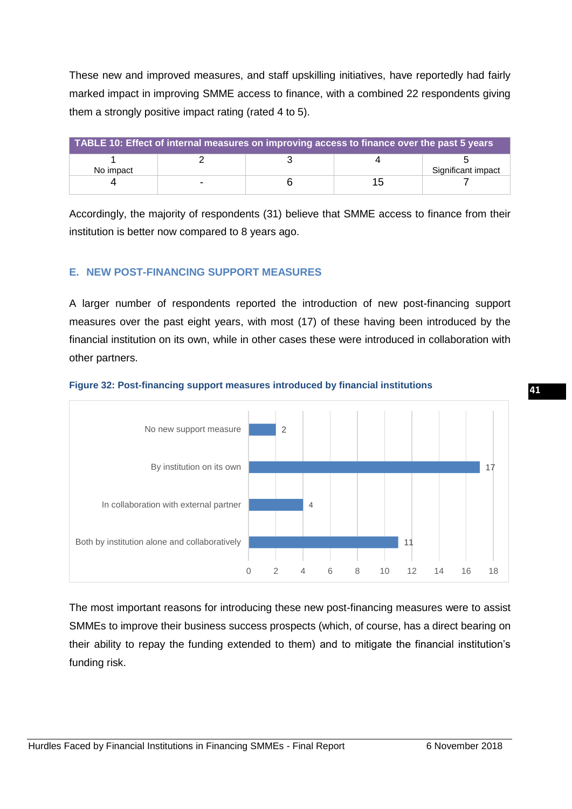These new and improved measures, and staff upskilling initiatives, have reportedly had fairly marked impact in improving SMME access to finance, with a combined 22 respondents giving them a strongly positive impact rating (rated 4 to 5).

| TABLE 10: Effect of internal measures on improving access to finance over the past 5 years |  |  |    |                    |  |  |
|--------------------------------------------------------------------------------------------|--|--|----|--------------------|--|--|
| No impact                                                                                  |  |  |    | Significant impact |  |  |
|                                                                                            |  |  | 15 |                    |  |  |

Accordingly, the majority of respondents (31) believe that SMME access to finance from their institution is better now compared to 8 years ago.

# <span id="page-42-0"></span>**E. NEW POST-FINANCING SUPPORT MEASURES**

A larger number of respondents reported the introduction of new post-financing support measures over the past eight years, with most (17) of these having been introduced by the financial institution on its own, while in other cases these were introduced in collaboration with other partners.



#### **Figure 32: Post-financing support measures introduced by financial institutions**

The most important reasons for introducing these new post-financing measures were to assist SMMEs to improve their business success prospects (which, of course, has a direct bearing on their ability to repay the funding extended to them) and to mitigate the financial institution's funding risk.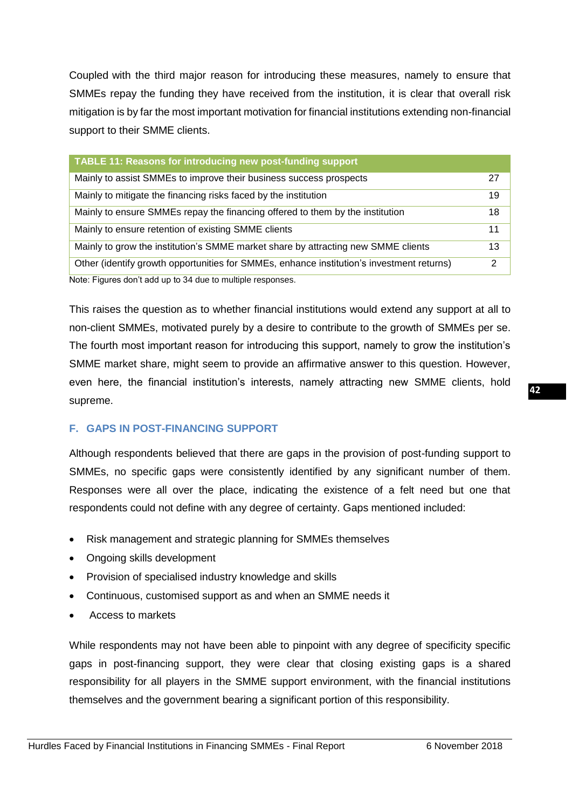Coupled with the third major reason for introducing these measures, namely to ensure that SMMEs repay the funding they have received from the institution, it is clear that overall risk mitigation is by far the most important motivation for financial institutions extending non-financial support to their SMME clients.

| <b>TABLE 11: Reasons for introducing new post-funding support</b>                         |    |
|-------------------------------------------------------------------------------------------|----|
| Mainly to assist SMMEs to improve their business success prospects                        | 27 |
| Mainly to mitigate the financing risks faced by the institution                           | 19 |
| Mainly to ensure SMMEs repay the financing offered to them by the institution             | 18 |
| Mainly to ensure retention of existing SMME clients                                       | 11 |
| Mainly to grow the institution's SMME market share by attracting new SMME clients         | 13 |
| Other (identify growth opportunities for SMMEs, enhance institution's investment returns) | 2  |
| Note: Figures don't add up to 34 due to multiple responses.                               |    |

This raises the question as to whether financial institutions would extend any support at all to non-client SMMEs, motivated purely by a desire to contribute to the growth of SMMEs per se. The fourth most important reason for introducing this support, namely to grow the institution's SMME market share, might seem to provide an affirmative answer to this question. However, even here, the financial institution's interests, namely attracting new SMME clients, hold supreme.

# <span id="page-43-0"></span>**F. GAPS IN POST-FINANCING SUPPORT**

Although respondents believed that there are gaps in the provision of post-funding support to SMMEs, no specific gaps were consistently identified by any significant number of them. Responses were all over the place, indicating the existence of a felt need but one that respondents could not define with any degree of certainty. Gaps mentioned included:

- Risk management and strategic planning for SMMEs themselves
- Ongoing skills development
- Provision of specialised industry knowledge and skills
- Continuous, customised support as and when an SMME needs it
- Access to markets

While respondents may not have been able to pinpoint with any degree of specificity specific gaps in post-financing support, they were clear that closing existing gaps is a shared responsibility for all players in the SMME support environment, with the financial institutions themselves and the government bearing a significant portion of this responsibility.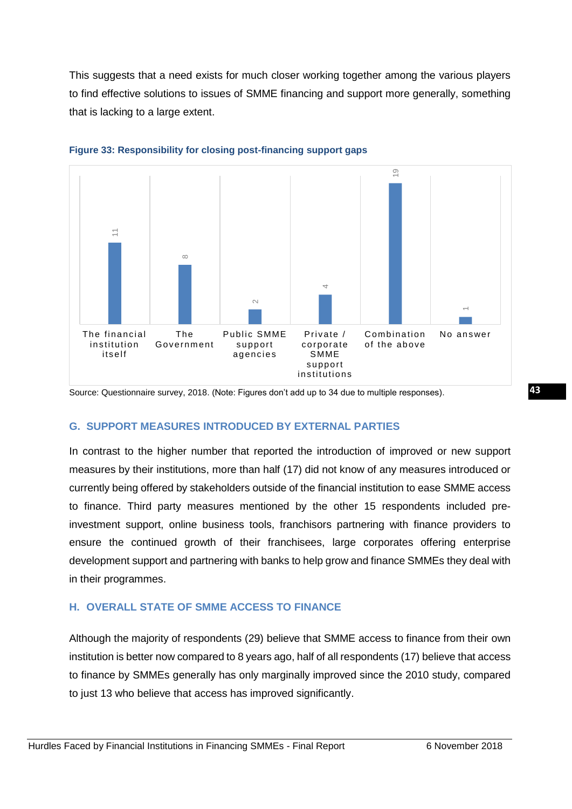This suggests that a need exists for much closer working together among the various players to find effective solutions to issues of SMME financing and support more generally, something that is lacking to a large extent.





Source: Questionnaire survey, 2018. (Note: Figures don't add up to 34 due to multiple responses).

# <span id="page-44-0"></span>**G. SUPPORT MEASURES INTRODUCED BY EXTERNAL PARTIES**

In contrast to the higher number that reported the introduction of improved or new support measures by their institutions, more than half (17) did not know of any measures introduced or currently being offered by stakeholders outside of the financial institution to ease SMME access to finance. Third party measures mentioned by the other 15 respondents included preinvestment support, online business tools, franchisors partnering with finance providers to ensure the continued growth of their franchisees, large corporates offering enterprise development support and partnering with banks to help grow and finance SMMEs they deal with in their programmes.

# <span id="page-44-1"></span>**H. OVERALL STATE OF SMME ACCESS TO FINANCE**

Although the majority of respondents (29) believe that SMME access to finance from their own institution is better now compared to 8 years ago, half of all respondents (17) believe that access to finance by SMMEs generally has only marginally improved since the 2010 study, compared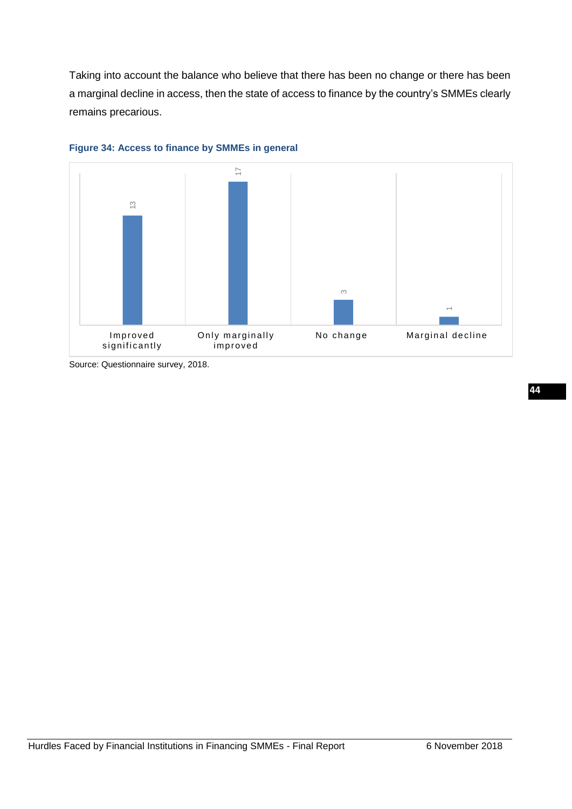Taking into account the balance who believe that there has been no change or there has been a marginal decline in access, then the state of access to finance by the country's SMMEs clearly remains precarious.





<span id="page-45-0"></span>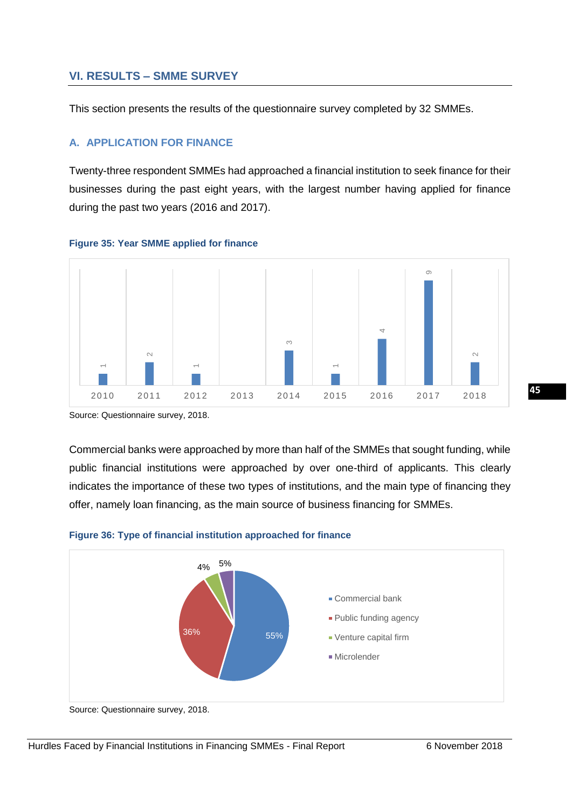# **VI. RESULTS – SMME SURVEY**

This section presents the results of the questionnaire survey completed by 32 SMMEs.

# <span id="page-46-0"></span>**A. APPLICATION FOR FINANCE**

Twenty-three respondent SMMEs had approached a financial institution to seek finance for their businesses during the past eight years, with the largest number having applied for finance during the past two years (2016 and 2017).



#### **Figure 35: Year SMME applied for finance**

Source: Questionnaire survey, 2018.

Commercial banks were approached by more than half of the SMMEs that sought funding, while public financial institutions were approached by over one-third of applicants. This clearly indicates the importance of these two types of institutions, and the main type of financing they offer, namely loan financing, as the main source of business financing for SMMEs.



#### **Figure 36: Type of financial institution approached for finance**

Source: Questionnaire survey, 2018.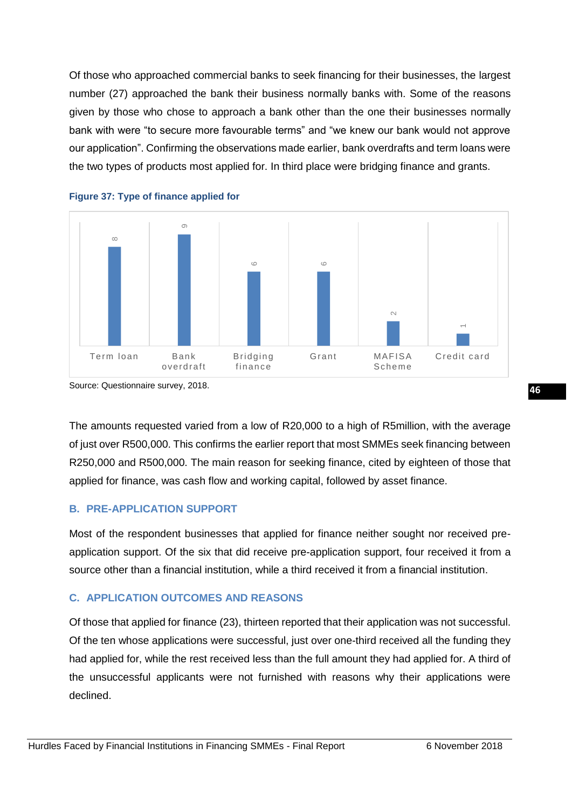Of those who approached commercial banks to seek financing for their businesses, the largest number (27) approached the bank their business normally banks with. Some of the reasons given by those who chose to approach a bank other than the one their businesses normally bank with were "to secure more favourable terms" and "we knew our bank would not approve our application". Confirming the observations made earlier, bank overdrafts and term loans were the two types of products most applied for. In third place were bridging finance and grants.





The amounts requested varied from a low of R20,000 to a high of R5million, with the average of just over R500,000. This confirms the earlier report that most SMMEs seek financing between R250,000 and R500,000. The main reason for seeking finance, cited by eighteen of those that applied for finance, was cash flow and working capital, followed by asset finance.

# <span id="page-47-0"></span>**B. PRE-APPLICATION SUPPORT**

Most of the respondent businesses that applied for finance neither sought nor received preapplication support. Of the six that did receive pre-application support, four received it from a source other than a financial institution, while a third received it from a financial institution.

# <span id="page-47-1"></span>**C. APPLICATION OUTCOMES AND REASONS**

Of those that applied for finance (23), thirteen reported that their application was not successful. Of the ten whose applications were successful, just over one-third received all the funding they had applied for, while the rest received less than the full amount they had applied for. A third of the unsuccessful applicants were not furnished with reasons why their applications were declined.

Source: Questionnaire survey, 2018.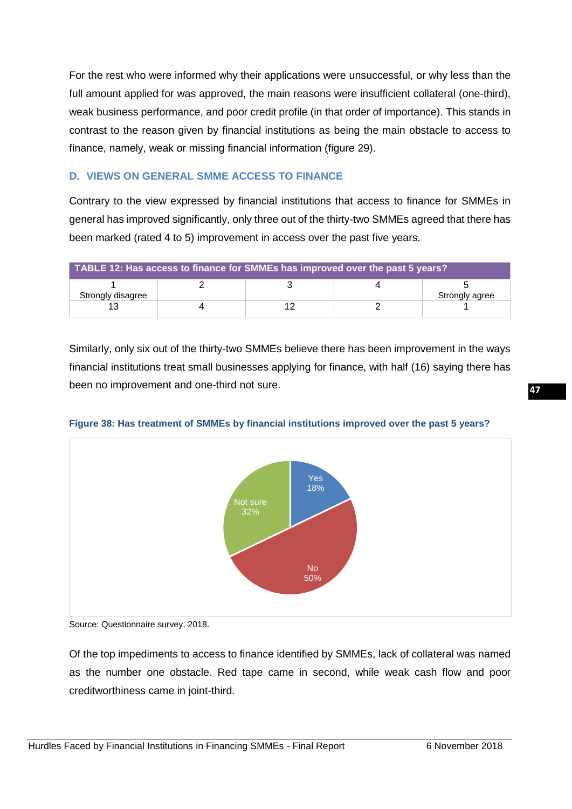For the rest who were informed why their applications were unsuccessful, or why less than the full amount applied for was approved, the main reasons were insufficient collateral (one-third), weak business performance, and poor credit profile (in that order of importance). This stands in contrast to the reason given by financial institutions as being the main obstacle to access to finance, namely, weak or missing financial information (figure 29).

# <span id="page-48-0"></span>**D. VIEWS ON GENERAL SMME ACCESS TO FINANCE**

Contrary to the view expressed by financial institutions that access to finance for SMMEs in general has improved significantly, only three out of the thirty-two SMMEs agreed that there has been marked (rated 4 to 5) improvement in access over the past five years.

| TABLE 12: Has access to finance for SMMEs has improved over the past 5 years? |  |  |  |                |
|-------------------------------------------------------------------------------|--|--|--|----------------|
| Strongly disagree                                                             |  |  |  | Strongly agree |
|                                                                               |  |  |  |                |

Similarly, only six out of the thirty-two SMMEs believe there has been improvement in the ways financial institutions treat small businesses applying for finance, with half (16) saying there has been no improvement and one-third not sure.



#### **Figure 38: Has treatment of SMMEs by financial institutions improved over the past 5 years?**

Source: Questionnaire survey, 2018.

Of the top impediments to access to finance identified by SMMEs, lack of collateral was named as the number one obstacle. Red tape came in second, while weak cash flow and poor creditworthiness came in joint-third.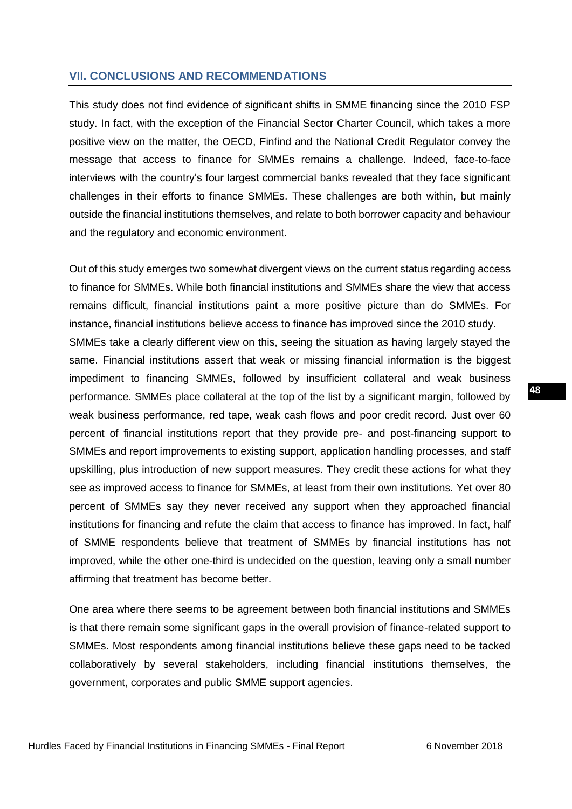# <span id="page-49-0"></span>**VII. CONCLUSIONS AND RECOMMENDATIONS**

This study does not find evidence of significant shifts in SMME financing since the 2010 FSP study. In fact, with the exception of the Financial Sector Charter Council, which takes a more positive view on the matter, the OECD, Finfind and the National Credit Regulator convey the message that access to finance for SMMEs remains a challenge. Indeed, face-to-face interviews with the country's four largest commercial banks revealed that they face significant challenges in their efforts to finance SMMEs. These challenges are both within, but mainly outside the financial institutions themselves, and relate to both borrower capacity and behaviour and the regulatory and economic environment.

Out of this study emerges two somewhat divergent views on the current status regarding access to finance for SMMEs. While both financial institutions and SMMEs share the view that access remains difficult, financial institutions paint a more positive picture than do SMMEs. For instance, financial institutions believe access to finance has improved since the 2010 study. SMMEs take a clearly different view on this, seeing the situation as having largely stayed the same. Financial institutions assert that weak or missing financial information is the biggest impediment to financing SMMEs, followed by insufficient collateral and weak business performance. SMMEs place collateral at the top of the list by a significant margin, followed by weak business performance, red tape, weak cash flows and poor credit record. Just over 60 percent of financial institutions report that they provide pre- and post-financing support to SMMEs and report improvements to existing support, application handling processes, and staff upskilling, plus introduction of new support measures. They credit these actions for what they see as improved access to finance for SMMEs, at least from their own institutions. Yet over 80 percent of SMMEs say they never received any support when they approached financial institutions for financing and refute the claim that access to finance has improved. In fact, half of SMME respondents believe that treatment of SMMEs by financial institutions has not improved, while the other one-third is undecided on the question, leaving only a small number affirming that treatment has become better.

One area where there seems to be agreement between both financial institutions and SMMEs is that there remain some significant gaps in the overall provision of finance-related support to SMMEs. Most respondents among financial institutions believe these gaps need to be tacked collaboratively by several stakeholders, including financial institutions themselves, the government, corporates and public SMME support agencies.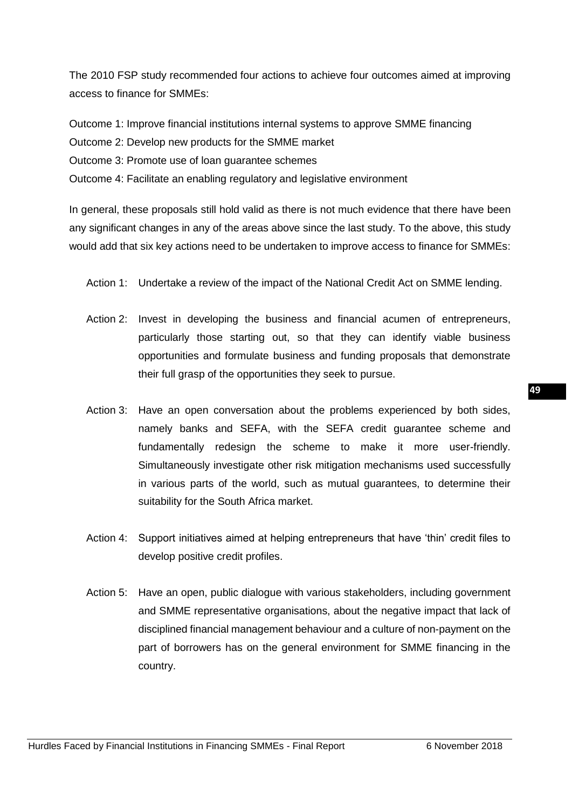The 2010 FSP study recommended four actions to achieve four outcomes aimed at improving access to finance for SMMEs:

Outcome 1: Improve financial institutions internal systems to approve SMME financing

Outcome 2: Develop new products for the SMME market

Outcome 3: Promote use of loan guarantee schemes

Outcome 4: Facilitate an enabling regulatory and legislative environment

In general, these proposals still hold valid as there is not much evidence that there have been any significant changes in any of the areas above since the last study. To the above, this study would add that six key actions need to be undertaken to improve access to finance for SMMEs:

Action 1: Undertake a review of the impact of the National Credit Act on SMME lending.

- Action 2: Invest in developing the business and financial acumen of entrepreneurs, particularly those starting out, so that they can identify viable business opportunities and formulate business and funding proposals that demonstrate their full grasp of the opportunities they seek to pursue.
- Action 3: Have an open conversation about the problems experienced by both sides, namely banks and SEFA, with the SEFA credit guarantee scheme and fundamentally redesign the scheme to make it more user-friendly. Simultaneously investigate other risk mitigation mechanisms used successfully in various parts of the world, such as mutual guarantees, to determine their suitability for the South Africa market.
- Action 4: Support initiatives aimed at helping entrepreneurs that have 'thin' credit files to develop positive credit profiles.
- Action 5: Have an open, public dialogue with various stakeholders, including government and SMME representative organisations, about the negative impact that lack of disciplined financial management behaviour and a culture of non-payment on the part of borrowers has on the general environment for SMME financing in the country.